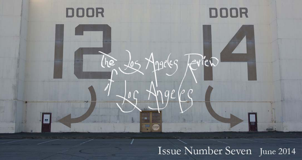

# Issue Number Seven June 2014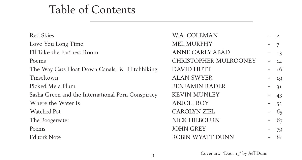# Table of Contents

Red Skies **M.A. COLEMAN** - 2 Love You Long Time  $MEL$  MURPHY I'll Take the Farthest Room ANNE CARLY AI Poems CHRISTOPHER N The Way Cats Float Down Canals, & Hitchhiking DAVID HUTT Tinseltown ALAN SWYER Picked Me a Plum BENJAMIN RADER Sasha Green and the International Porn Conspiracy - KEVIN MUNLEY Where the Water Is **ANJOLI ROY** Watched Pot CAROLYN ZIEL The Boogereater NICK HILBOURN Poems JOHN GREY Editor's Note ROBIN WYATT D

1

|                  | 7  |
|------------------|----|
| BAD              | 13 |
| <b>MULROONEY</b> | 14 |
|                  | 16 |
|                  | 19 |
| ER               | 31 |
| $\sqrt$          | 43 |
|                  | 52 |
|                  | 65 |
| $\bigvee$        | 67 |
|                  | 79 |
| <b>DUNN</b>      | 81 |

Cover art: "Door 13" by Jeff Dunn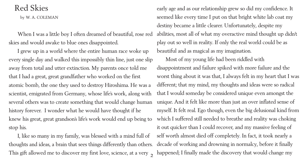# Red Skies

by W. A. COLEMAN

When I was a little boy I often dreamed of beautiful, rose red skies and would awake to blue ones disappointed.

This gift allowed me to discover my first love, science, at a very <sub>2</sub> I, like so many in my family, was blessed with a mind full of thoughts and ideas, a brain that sees things differently than others.

I grew up in a world where the entire human race woke up every single day and walked this impossibly thin line, just one slip away from total and utter extinction. My parents once told me that I had a great, great grandfather who worked on the first atomic bomb, the one they used to destroy Hiroshima. He was a scientist, emigrated from Germany, whose life's work, along with several others was to create something that would change human history forever. I wonder what he would have thought if he knew his great, great grandson's life's work would end up being to stop his.

early age and as our relationship grew so did my confidence. It seemed like every time I put on that bright white lab coat my destiny became a little clearer. Unfortunately, despite my abilities, most all of what my overactive mind thought up didn't play out so well in reality. If only the real world could be as beautiful and as magical as my imagination. Most of my young life had been riddled with disappointment and failure spiked with more failure and the worst thing about it was that, I always felt in my heart that I was different; that my mind, my thoughts and ideas were so radical that I would someday be considered unique even amongst the unique. And it felt like more than just an over inflated sense of myself. It felt real. Ego though, even the big delusional kind from which I suffered still needed to breathe and reality was choking it out quicker than I could recover, and my massive feeling of self worth almost died off completely. In fact, it took nearly a decade of working and drowning in normalcy, before it finally happened; I finally made the discovery that would change my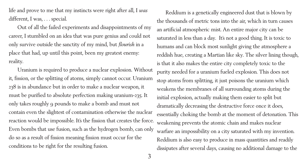life and prove to me that my instincts were right after all, I *was* different, I was, . . . special.

Out of all the failed experiments and disappointments of my career, I stumbled on an idea that was pure genius and could not only survive outside the sanctity of my mind, but *flourish* in a place that had, up until this point, been my greatest enemy: reality.

Uranium is required to produce a nuclear explosion. Without it, fission, or the splitting of atoms, simply cannot occur. Uranium 238 is in abundance but in order to make a nuclear weapon, it must be purified to absolute perfection making uranium-235. It only takes roughly 9 pounds to make a bomb and must not contain even the slightest of contamination otherwise the nuclear reaction would be impossible. It's the fission that creates the force. Even bombs that use fusion, such as the hydrogen bomb, can only do so as a result of fission meaning fission must occur for the conditions to be right for the resulting fusion.

Reddium is a genetically engineered dust that is blown by the thousands of metric tons into the air, which in turn causes an artificial atmospheric mist. An entire major city can be saturated in less than a day. It's not a good thing. It is toxic to humans and can block most sunlight giving the atmosphere a reddish hue, creating a Martian like sky. The silver lining though, is that it also makes the entire city completely toxic to the purity needed for a uranium fueled explosion. This does not stop atoms from splitting, it just poisons the uranium which weakens the membranes of all surrounding atoms during the initial explosion, actually making them easier to split but dramatically decreasing the destructive force once it does, essentially choking the bomb at the moment of detonation. This weakening prevents the atomic chain and makes nuclear warfare an impossibility on a city saturated with my invention. Reddium is also easy to produce in mass quantities and readily dissipates after several days, causing no additional damage to the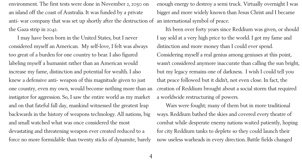environment. The first tests were done in November 2, 2050 on an island off the coast of Australia. It was funded by a private anti- war company that was set up shortly after the destruction of an international symbol of peace. the Gaza strip in 2042.

I may have been born in the United States, but I never considered myself an American. My self-love, I felt was always too great of a burden for one country to bear. I also figured labeling myself a humanist rather than an American would increase my fame, distinction and potential for wealth. I also knew a defensive anti- weapon of this magnitude given to just one country, even my own, would become nothing more than an instigator for aggression. So, I saw the entire world as my market and on that fateful fall day, mankind witnessed the greatest leap backwards in the history of weapons technology. All nations, big and small watched what was once considered the most devastating and threatening weapon ever created reduced to a force no more formidable than twenty sticks of dynamite, barely

enough energy to destroy a semi truck. Virtually overnight I was bigger and more widely known than Jesus Christ and I became It's been over forty years since Reddium was given, or should I say sold at a very high price to the world. I got my fame and distinction and more money than I could ever spend. Considering myself a real genius among geniuses at this point, wasn't considered anymore inaccurate than calling the sun bright, but my legacy remains one of darkness. I wish I could tell you that peace followed but it didn't, not even close. In fact, the creation of Reddium brought about a social storm that required a worldwide restructuring of powers. Wars were fought; many of them but in more traditional ways. Reddium bathed the skies and covered every theatre of combat while desperate enemy nations waited patiently, hoping for city Reddium tanks to deplete so they could launch their now useless warheads in every direction. Battle fields changed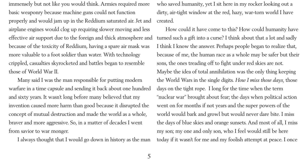immensely but not like you would think. Armies required more basic weaponry because machine guns could not function properly and would jam up in the Reddium saturated air. Jet and airplane engines would clog up requiring slower moving and less effective air support due to the foreign and thick atmosphere and because of the toxicity of Reddium, having a spare air mask was more valuable to a foot soldier than water. With technology crippled, casualties skyrocketed and battles began to resemble those of World War II.

Many said I was the man responsible for putting modern warfare in a time capsule and sending it back about one hundred and sixty years. It wasn't long before many believed that my invention caused more harm than good because it disrupted the concept of mutual destruction and made the world as a whole, braver and more aggressive. So, in a matter of decades I went from savior to war monger.

I always thought that I would go down in history as the man

who saved humanity, yet I sit here in my rocker looking out a dirty, air-tight window at the red, hazy, war-torn world I have created.

How could it have come to this? How could humanity have turned such a gift into a curse? I think about that a lot and sadly I think I know the answer. Perhaps people began to realize that, because of me, the human race as a whole may be safer but their sons, the ones treading off to fight under red skies are not. Maybe the idea of total annihilation was the only thing keeping the World Wars in the single digits. *How I miss those days,* those days on the tight rope. I long for the time when the term "nuclear war" brought about fear; the days when political action went on for months if not years and the super powers of the world would bark and growl but would never dare bite. I miss the days of blue skies and orange sunsets. And most of all, I miss my son; my one and only son, who I feel would still be here today if it wasn't for me and my foolish attempt at peace. I once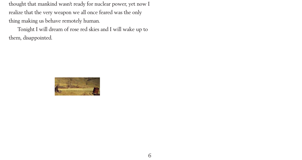thought that mankind wasn't ready for nuclear power, yet now I realize that the very weapon we all once feared was the only thing making us behave remotely human.

Tonight I will dream of rose red skies and I will wake up to them, disappointed.

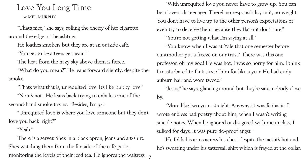# Love You Long Time

by MEL MURPHY

"That's nice," she says, rolling the cherry of her cigarette around the edge of the ashtray.

He loathes smokers but they are at an outside café.

"You get to be a teenager again."

The heat from the hazy sky above them is fierce.

"No it's not." He leans back trying to exhale some of the second-hand smoke toxins. "Besides, I'm 34."

"What do you mean?" He leans forward slightly, despite the smoke.

monitoring the levels of their iced tea. He ignores the waitress. 7 There is a server. She's in a black apron, jeans and a t-shirt. She's watching them from the far side of the café patio,

"That's what that is, unrequited love. It's like puppy love."

"Unrequited love is where you love someone but they don't love you back, right?"

#### "Yeah."

"With unrequited love you never have to grow up. You can be a love-sick teenager. There's no responsibility in it, no weight. You don't have to live up to the other person's expectations or even try to deceive them because they flat out don't care." "You're not getting what I'm saying at all." "You know when I was at Yale that one semester before cuntmother put a freeze on our trust? There was this one professor, oh my god! He was hot. I was so horny for him. I think I masturbated to fantasies of him for like a year. He had curly auburn hair and wore tweed." "Jesus," he says, glancing around but they're safe, nobody close by.

"More like two years straight. Anyway, it was fantastic. I wrote endless bad poetry about him, when I wasn't writing suicide notes. When he ignored or disagreed with me in class, I sulked for days. It was pure 80-proof angst." He folds his arms across his chest despite the fact it's hot and he's sweating under his tattersall shirt which is frayed at the collar.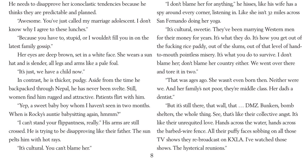He needs to disapprove her iconoclastic tendencies because he thinks they are predictable and planned.

"Awesome. You've just called my marriage adolescent. I don't know why I agree to these lunches."

"Because you have to, stupid, or I wouldn't fill you in on the latest family gossip."

Her eyes are deep brown, set in a white face. She wears a sun hat and is slender, all legs and arms like a pale foal.

"It's just, we have a child now."

In contrast, he is thicker, pudgy. Aside from the time he backpacked through Nepal, he has never been svelte. Still, women find him rugged and attractive. Patients flirt with him.

"Yep, a sweet baby boy whom I haven't seen in two months. When is Rocky's auntie babysitting again, hmmm?"

"I can't stand your flippantness, really." His arms are still crossed. He is trying to be disapproving like their father. The sun pelts him with hot rays.

"It's cultural. You can't blame her."

"I don't blame her for anything," he hisses, like his wife has a spy around every corner, listening in. Like she isn't 32 miles across San Fernando doing her yoga. "It's cultural, sweetie. They've been marrying Western men for their money for years. It's what they do. It's how you get out of the fucking rice paddy, out of the slums, out of that level of handto-mouth pointless misery. It's what you do to survive. I don't blame her; don't blame her country either. We went over there and tore it in two."

"That was ages ago. She wasn't even born then. Neither were we. And her family's not poor, they're middle class. Her dad's a dentist."

"But it's still there, that wall, that … DMZ. Bunkers, bomb shelters, the whole thing. See, that's like their collective angst. It's like their unrequited love. Hands across the water, hands across the barbed-wire fence. All their puffy faces sobbing on all those TV shows they re-broadcast on KXLA. I've watched those shows. The hysterical reunions."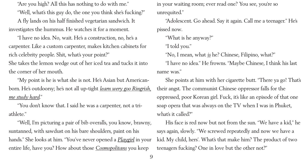"Are you high? All this has nothing to do with me."

"Well, what's this guy do, the one you think she's fucking?"

A fly lands on his half finished vegetarian sandwich. It investigates the hummus. He watches it for a moment.

"I have no idea. No, wait. He's a construction, no, he's a carpenter. Like a custom carpenter, makes kitchen cabinets for rich celebrity people. Shit, what's your point?" She takes the lemon wedge out of her iced tea and tucks it into the corner of her mouth.

"My point is he is what she is not. He's Asian but Americanborn. He's outdoorsy; he's not all up-tight *learn wery goo Ringrish, me study hard*."

She points at him with her cigarette butt. "There ya go! That's their angst. The communist Chinese oppressor falls for the oppressed, poor Korean girl. Fuck, it's like an episode of that one soap opera that was always on the TV when I was in Phuket, what's it called?"

"You don't know that. I said he was a carpenter, not a triathlete."

"Well, I'm picturing a pair of bib overalls, you know, brawny, suntanned, with sawdust on his bare shoulders, paint on his hands." She looks at him. "You've never opened a *Playgirl* in your entire life, have you? How about those *Cosmopolitans* you keep

in your waiting room; ever read one? You see, you're so unrequited." "Adolescent. Go ahead. Say it again. Call me a teenager." He's pissed now. "What is he anyway?" "I told you." "No, I mean, what *is* he? Chinese, Filipino, what?" "I have no idea." He frowns. "Maybe Chinese, I think his last name was."

His face is red now but not from the sun. "We have a kid," he says again, slowly. "We screwed repeatedly and now we have a kid. My child, hers'. What's that make him? The product of two teenagers fucking? One in love but the other not?"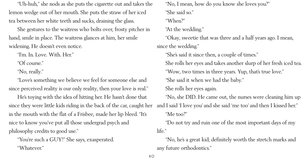"Uh-huh," she nods as she puts the cigarette out and takes the lemon wedge out of her mouth. She puts the straw of her iced tea between her white teeth and sucks, draining the glass.

She gestures to the waitress who bolts over, frosty pitcher in hand, smile in place. The waitress glances at him, her smile widening. He doesn't even notice.

"I'm. In. Love. With. Her."

"Of course."

"No, really."

"Love's something we believe we feel for someone else and since perceived reality is our only reality, then your love is real."

He's toying with the idea of hitting her. He hasn't done that since they were little kids riding in the back of the car, caught her in the mouth with the flat of a Frisbee, made her lip bleed. "It's nice to know you've put all those undergrad psych and philosophy credits to good use."

"You're such a GUY!" She says, exasperated. "Whatever."

"No, I mean, how do you know she loves you?" "She said so." "When?" "At the wedding." since the wedding." "She's said it since then, a couple of times." "She said it when we had the baby." She rolls her eyes again. "Me too?" life." any future orthodontics."

- "Okay, sweetie that was three and a half years ago. I mean,
	-
- She rolls her eyes and takes another slurp of her fresh iced tea. "Wow, two times in three years. Yup, that's true love."
- "No, she DID. He came out, the nurses were cleaning him up and I said 'I love you' and she said 'me too' and then I kissed her."
	- "Do not try and ruin one of the most important days of my
	- "No, he's a great kid; definitely worth the stretch marks and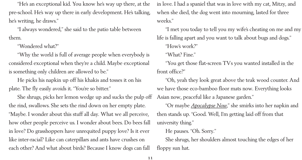"He's an exceptional kid. You know he's way up there, at the pre-school. He's way up there in early development. He's talking, he's writing, he draws."

"I always wondered," she said to the patio table between them.

"Wondered what?"

"Why the world is full of average people when everybody is considered exceptional when they're a child. Maybe exceptional is something only children are allowed to be."

He picks his napkin up off his khakis and tosses it on his plate. The fly easily avoids it. "You're so bitter."

She shrugs, picks her lemon wedge up and sucks the pulp off the rind, swallows. She sets the rind down on her empty plate. "Maybe. I wonder about this stuff all day. What we all perceive, how other people perceive us. I wonder about bees. Do bees fall in love? Do grasshoppers have unrequited puppy love? Is it ever like inter-racial? Like can caterpillars and ants have crushes on each other? And what about birds? Because I know dogs can fall

in love. I had a spaniel that was in love with my cat, Mitzy, and when she died, the dog went into mourning, lasted for three weeks." "I met you today to tell you my wife's cheating on me and my life is falling apart and you want to talk about bugs and dogs." "How's work?" "What? Fine." "You get those flat-screen TVs you wanted installed in the front office?" "Oh, yeah they look great above the teak wood counter. And we have those eco-bamboo floor mats now. Everything looks Asian now, peaceful like a Japanese garden." "Or maybe *Apocalypse Now*," she smirks into her napkin and then stands up. "Good. Well, I'm getting laid off from that university thing." He pauses. "Oh. Sorry." She shrugs, her shoulders almost touching the edges of her floppy sun hat.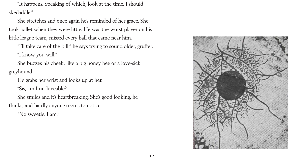

"It happens. Speaking of which, look at the time. I should skedaddle."

She stretches and once again he's reminded of her grace. She took ballet when they were little. He was the worst player on his little league team, missed every ball that came near him.

"I'll take care of the bill," he says trying to sound older, gruffer. "I know you will."

She buzzes his cheek, like a big honey bee or a love-sick greyhound.

He grabs her wrist and looks up at her.

"Sis, am I un-loveable?"

She smiles and it's heartbreaking. She's good looking, he

thinks, and hardly anyone seems to notice.

"No sweetie. I am."

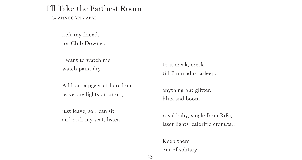13

Left my friends for Club Downer.

I want to watch me watch paint dry.

Add-on: a jigger of boredom; leave the lights on or off,

just leave, so I can sit and rock my seat, listen

### I'll Take the Farthest Room

by ANNE CARLY ABAD

to it creak, creak till I'm mad or asleep,

anything but glitter, blitz and boom--

royal baby, single from RiRi, laser lights, calorific cronuts…

Keep them out of solitary.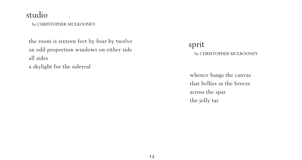# studio

by CHRISTOPHER MULROONEY

the room is sixteen feet by four by twelve an odd proportion windows on either side all sides a skylight for the sidereal

sprit

#### by CHRISTOPHER MULROONEY

whence hangs the canvas that bellies in the breeze across the spar the jolly tar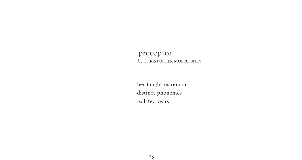#### preceptor by CHRISTOPHER MULROONEY

her taught us remain distinct phonemes isolated tears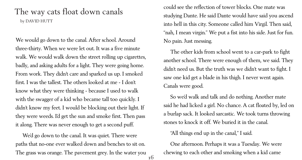We would go down to the canal. After school. Around three-thirty. When we were let out. It was a five minute walk. We would walk down the street rolling up cigarettes, badly, and asking adults for a light. They were going home. From work. They didn't care and sparked us up. I smoked first. I was the tallest. The others looked at me - I don't know what they were thinking - because I used to walk with the swagger of a kid who became tall too quickly. I didn't know my feet. I would be blocking out their light. If they were weeds. I'd get the sun and smoke first. Then pass it along. There was never enough to get a second puff.

We'd go down to the canal. It was quiet. There were paths that no-one ever walked down and benches to sit on. The grass was orange. The pavement grey. In the water you

### The way cats float down canals by DAVID HUTT

could see the reflection of tower blocks. One mate was studying Dante. He said Dante would have said you ascend into hell in this city. Someone called him Virgil. Then said, "nah, I mean virgin." We put a fist into his side. Just for fun. No pain. Just messing.

The other kids from school went to a car-park to fight another school. There were enough of them, we said. They didn't need us. But the truth was we didn't want to fight. I saw one kid get a blade in his thigh. I never went again. Canals were good.

So we'd walk and talk and do nothing. Another mate said he had licked a girl. No chance. A cat floated by, led on a burlap sack. It looked sarcastic. We took turns throwing stones to knock it off. We buried it in the canal. "All things end up in the canal," I said. One afternoon. Perhaps it was a Tuesday. We were chewing to each other and smoking when a kid came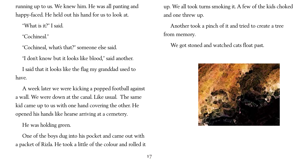running up to us. We knew him. He was all panting and happy-faced. He held out his hand for us to look at.

"What is it?" I said.

"Cochineal."

"Cochineal, what's that?" someone else said.

"I don't know but it looks like blood," said another.

I said that it looks like the flag my granddad used to have.

A week later we were kicking a popped football against a wall. We were down at the canal. Like usual. The same kid came up to us with one hand covering the other. He opened his hands like hearse arriving at a cemetery.

He was holding green.

One of the boys dug into his pocket and came out with a packet of Rizla. He took a little of the colour and rolled it

#### up. We all took turns smoking it. A few of the kids choked

and one threw up.

#### Another took a pinch of it and tried to create a tree

from memory.

We got stoned and watched cats float past.

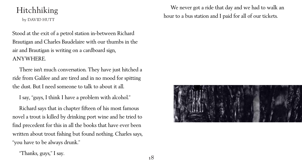# Hitchhiking

by DAVID HUTT

Stood at the exit of a petrol station in-between Richard Brautigan and Charles Baudelaire with our thumbs in the air and Brautigan is writing on a cardboard sign, ANYWHERE.

There isn't much conversation. They have just hitched a ride from Galilee and are tired and in no mood for spitting the dust. But I need someone to talk to about it all.

I say, "guys, I think I have a problem with alcohol."

Richard says that in chapter fifteen of his most famous novel a trout is killed by drinking port wine and he tried to find precedent for this in all the books that have ever been written about trout fishing but found nothing. Charles says, "you have to be always drunk."



"Thanks, guys," I say.

### We never got a ride that day and we had to walk an hour to a bus station and I paid for all of our tickets.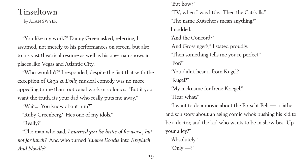### Tinseltown

by ALAN SWYER

"Who wouldn't?" I responded, despite the fact that with the exception of *Guys & Dolls*, musical comedy was no more appealing to me than root canal work or colonics. "But if you want the truth, it's your dad who really puts me away."

"You like my work?" Danny Green asked, referring, I assumed, not merely to his performances on screen, but also to his vast theatrical resume as well as his one-man shows in places like Vegas and Atlantic City.

"But how?" "The name Kutscher's mean anything?" I nodded. "And the Concord?" "And Grossinger's," I stated proudly. "Then something tells me you're perfect." "For?" "You didn't hear it from Kugel?" "Kugel?" "My nickname for Irene Kriegel." "Hear what?" your alley?" "Absolutely." " $Only -?"$ 

"Wait... You know about him?"

"Ruby Greenberg? He's one of my idols."

"Really?"

"The man who said, *I married you for better of for worse, but not for lunch?* And who turned *Yankee Doodle* into *Kreplach And Noodle*?"

"TV, when I was little. Then the Catskills."

- 
- 
- 
- "I want to do a movie about the Borscht Belt a father and son story about an aging comic who's pushing his kid to be a doctor, and the kid who wants to be in show biz. Up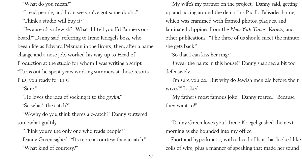"What do you mean?"

"I read people, and I can see you've got some doubt." "Think a studio will buy it?"

"Because it's so Jewish? What if I tell you Ed Palmer's onboard?" Danny said, referring to Irene Kriegel's boss, who began life as Edward Pelzman in the Bronx, then, after a name change and a nose job, worked his way up to Head of Production at the studio for whom I was writing a script. "Turns out he spent years working summers at those resorts. Plus, you ready for this?

Danny Green sighed. "It's more a courtesy than a catch." "What kind of courtesy?"

"Sure."

"He loves the idea of socking it to the *goyim*."

"So what's the catch?"

"W-why do you think there's a c-catch?" Danny stuttered somewhat guiltily.

"Think you're the only one who reads people?"

"My wife's my partner on the project," Danny said, getting up and pacing around the den of his Pacific Palisades home, which was crammed with framed photos, plaques, and laminated clippings from the *New York Times*, *Variety*, and other publications. "The three of us should meet the minute she gets back." "So that I can kiss her ring?" "*I* wear the pants in this house!" Danny snapped a bit too defensively.

"I'm sure you do. But why do Jewish men die before their wives?" I asked. "My father's most famous joke!" Danny roared. "Because

they want to!"

"Danny Green loves you!" Irene Kriegel gushed the next morning as she bounded into my office. Short and hyperkinetic, with a head of hair that looked like coils of wire, plus a manner of speaking that made her sound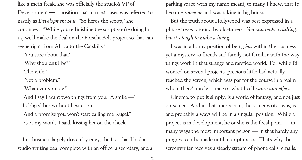like a meth freak, she was officially the studio's VP of Development — a position that in most cases was referred to nastily as *Development Slut*. "So here's the scoop," she continued. "While you're finishing the script you're doing for us, we'll make the deal on the Borscht Belt project so that can segue right from Africa to the Catskills."

"You sure about that?"

"Why shouldn't I be?"

"The wife."

"Not a problem."

"Whatever you say."

"And I say I want two things from you. A smile —"

I obliged her without hesitation.

"And a promise you won't start calling me Kugel." "Got my word," I said, kissing her on the cheek.

In a business largely driven by envy, the fact that I had a studio writing deal complete with an office, a secretary, and a become *someone* and was raking in big bucks. *but it's tough to make a living*.

- parking space with my name meant, to many I knew, that I'd
- But the truth about Hollywood was best expressed in a phrase tossed around by old-timers: *You can make a killing,*
- I was in a funny position of being *hot* within the business, yet a mystery to friends and family not familiar with the way things work in that strange and rarefied world. For while I'd worked on several projects, precious little had actually reached the screen, which was par for the course in a realm where there's rarely a trace of what I call *cause-and-effect*. Cinema, to put it simply, is a world of fantasy, and not just on-screen. And in that microcosm, the screenwriter was, is, and probably always will be in a singular position. While a project is in development, he or she is the focal point — in many ways the most important person — in that hardly any progress can be made until a script exists. That's why the screenwriter receives a steady stream of phone calls, emails,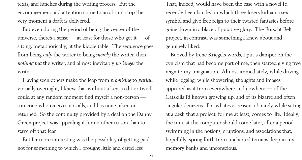texts, and lunches during the writing process. But the encouragement and attention come to an abrupt stop the very moment a draft is delivered.

But even during the period of being the center of the universe, there's a sense  $-$  at least for those who get it  $-$  of sitting, metaphorically, at the kiddie table. The sequence goes from being *only* the writer to being *merely* the writer, then *nothing but* the writer, and almost inevitably *no longer* the writer.

Having seen others make the leap from *promising* to *pariah* virtually overnight, I knew that without a key credit or two I could at any random moment find myself a non-person someone who receives no calls, and has none taken or returned. So the continuity provided by a deal on the Danny Green project was appealing if for no other reason than to stave off that fear.

But far more interesting was the possibility of getting paid not for something to which I brought little and cared less.

That, indeed, would have been the case with a novel I'd recently been handed in which three losers kidnap a sex symbol and give free reign to their twisted fantasies before going down in a blaze of putative glory. The Borscht Belt project, in contrast, was something I knew about and genuinely liked.

Buoyed by Irene Kriegel's words, I put a damper on the cynicism that had become part of me, then started giving free reign to my imagination. Almost immediately, while driving, while jogging, while showering, thoughts and images appeared as if from everywhere and nowhere — of the Catskills I'd known growing up, and of its bizarre and often singular denizens. For whatever reason, it's rarely while sitting at a desk that a project, for me at least, comes to life. Ideally, the time at the computer should come later, after a period swimming in the notions, eruptions, and associations that, hopefully, spring forth from uncharted terrains deep in my memory banks and unconscious.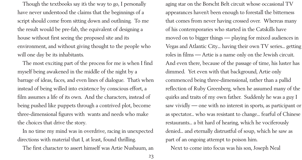Though the textbooks say it's the way to go, I personally have never understood the claims that the beginnings of a script should come from sitting down and outlining. To me the result would be pre-fab, the equivalent of designing a house without first seeing the proposed site and its environment, and without giving thought to the people who will one day be its inhabitants.

The most exciting part of the process for me is when I find myself being awakened in the middle of the night by a barrage of ideas, faces, and even lines of dialogue. That's when instead of being willed into existence by conscious effort, a film assumes a life of its own. And the characters, instead of being pushed like puppets through a contrived plot, become three-dimensional figures with wants and needs who make the choices that drive the story.

In no time my mind was in overdrive, racing in unexpected directions with material that I, at least, found thrilling. The first character to assert himself was Artie Nusbaum, an

aging star on the Borscht Belt circuit whose occasional TV appearances haven't been enough to forestall the bitterness that comes from never having crossed over. Whereas many of his contemporaries who started in the Catskills have moved on to bigger things — playing for mixed audiences in Vegas and Atlantic City... having their own TV series... getting roles in films — Artie is a name only on the Jewish circuit. And even there, because of the passage of time, his luster has dimmed. Yet even with that background, Artie only commenced being three-dimensional, rather than a pallid reflection of Ruby Greenberg, when he assumed many of the quirks and traits of my own father. Suddenly he was a guy I saw vividly — one with no interest in sports, as participant or as spectator... who was resistant to change... fearful of Chinese restaurants... a bit hard of hearing, which he vociferously denied... and eternally distrustful of soup, which he saw as part of an ongoing attempt to poison him. Next to come into focus was his son, Joseph Neal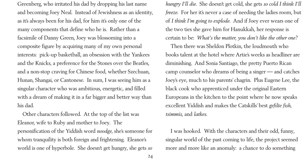Greenberg, who irritated his dad by dropping his last name and becoming Joey Neal. Instead of Jewishness as an identity, as it's always been for his dad, for him it's only one of the many components that define who he is. Rather than a facsimile of Danny Green, Joey was blossoming into a composite figure by acquiring many of my own personal interests: pick-up basketball, an obsession with the Yankees and the Knicks, a preference for the Stones over the Beatles, and a non-stop craving for Chinese food, whether Szechuan, Hunan, Shangai, or Cantonese. In sum, I was seeing him as a singular character who was ambitious, energetic, and filled with a dream of making it in a far bigger and better way than his dad.

Other characters followed. At the top of the list was Eleanor, wife to Ruby and mother to Joey. The personification of the Yiddish word *noodge*, she's someone for whom tranquility is both foreign and frightening. Eleanor's world is one of hyperbole. She doesn't get hungry, she gets *so*

*hungry I'll die*. She doesn't get cold, she gets *so cold I think I'll freeze*. For her it's never a case of needing the ladies room, but of *I think I'm going to explode*. And if Joey ever wears one of the two ties she gave him for Hanukkah, her response is certain to be: *What's the matter, you don't like the other one?* Then there was Sheldon Plotkin, the loudmouth who books talent at the hotel where Artie's weeks as headliner are diminishing. And Sonia Santiago, the pretty Puerto Rican camp counselor who dreams of being a singer — and catches Joey's eye, much to his parents' chagrin. Plus Eugene Lee, the black cook who apprenticed under the original Eastern Europeans in the kitchen to the point where he now speaks excellent Yiddish and makes the Catskills' best *gefilte fish*, *tsimmis*, and *latkes*.

I was hooked. With the characters and their odd, funny, singular world of the past coming to life, the project seemed more and more like an anomaly: a chance to do something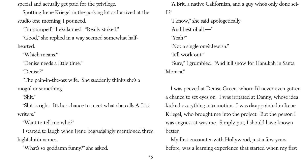special and actually get paid for the privilege.

Spotting Irene Kriegel in the parking lot as I arrived at the studio one morning, I pounced.

"I'm pumped!" I exclaimed. "Really stoked."

"Good," she replied in a way seemed somewhat halfhearted.

"Which means?"

"Denise needs a little time."

"Denise?"

"The pain-in-the-ass wife. She suddenly thinks she's a mogul or something."

"Shit."

"Shit is right. It's her chance to meet what she calls A-List writers."

"Want to tell me who?"

I started to laugh when Irene begrudgingly mentioned three highfalutin names.

"What's so goddamn funny?" she asked.

"A Brit, a native Californian, and a guy who's only done scifi?" "I know," she said apologetically. "And best of all —" "Yeah?" "Not a single one's Jewish." "It'll work out." "Sure," I grumbled. "And it'll snow for Hanukah in Santa Monica."

I was peeved at Denise Green, whom I'd never even gotten a chance to set eyes on. I was irritated at Danny, whose idea kicked everything into motion. I was disappointed in Irene Kriegel, who brought me into the project. But the person I was angriest at was me. Simply put, I should have known better. My first encounter with Hollywood, just a few years

before, was a learning experience that started when my first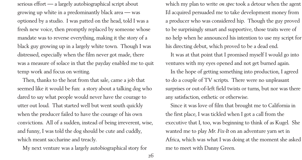serious effort — a largely autobiographical script about growing up white in a predominantly black area — was optioned by a studio. I was patted on the head, told I was a fresh new voice, then promptly replaced by someone whose mandate was to reverse everything, making it the story of a black guy growing up in a largely white town. Though I was distressed, especially when the film never got made, there was a measure of solace in that the payday enabled me to quit temp work and focus on writing.

Then, thanks to the heat from that sale, came a job that seemed like it would be fun: a story about a talking dog who dared to say what people would never have the courage to utter out loud. That started well but went south quickly when the producer failed to have the courage of his own convictions. All of a sudden, instead of being irreverent, wise, and funny, I was told the dog should be cute and cuddly, which meant saccharine and treacly.

My next venture was a largely autobiographical story for

which my plan to write *on spec* took a detour when the agent I'd acquired persuaded me to take development money from a producer who was considered hip. Though the guy proved to be surprisingly smart and supportive, those traits were of no help when he announced his intention to use my script for his directing debut, which proved to be a dead end. It was at that point that I promised myself I would go into ventures with my eyes opened and not get burned again. In the hope of getting something into production, I agreed to do a couple of TV scripts. There were no unpleasant surprises or out-of-left field twists or turns, but nor was there any satisfaction, esthetic or otherwise. Since it was love of film that brought me to California in the first place, I was tickled when I got a call from the executive that I, too, was beginning to think of as Kugel. She wanted me to play *Mr. Fix-It* on an adventure yarn set in Africa, which was what I was doing at the moment she asked me to meet with Danny Green.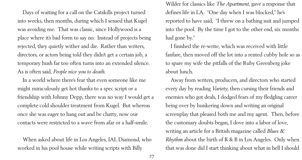Days of waiting for a call on the Catskills project turned into weeks, then months, during which I sensed that Kugel was avoiding me. That was classic, since Hollywood is a place where it's bad form to say no. Instead of projects being rejected, they quietly wither and die. Rather than writers, directors, or actors being told they didn't get a certain job, a temporary hush far too often turns into an extended silence. As is often said, *People nice you to death*.

In a world where there's fear that even someone like me might miraculously get hot thanks to a spec script or a friendship with Johnny Depp, there was no way I would get a complete cold shoulder treatment from Kugel. But whereas once she was eager to hang out and be chatty, now our contacts were restricted to a wave from afar or a half-smile.

When asked about life in Los Angeles, IAL Diamond, who worked in his pool house while writing scripts with Billy

Wilder for classics like *The Apartment*, gave a response that defines life in LA. "One day when I was blocked," he's reported to have said, "I threw on a bathing suit and jumped into the pool. By the time I got to the other end, six months had gone by."

I finished the re-write, which was received with little fanfare, then moved off the lot into a rented cubby hole so as to spare my wife the pitfalls of the Ruby Greenberg joke about lunch.

Away from writers, producers, and directors who started every day by reading *Variety*, then cursing their friends and enemies who got deals, I dodged fears of my fledgling career being over by hunkering down and writing an original screenplay that pleased both me and my agent. Then, before the customary doubts began, I dove into a labor of love, writing an article for a British magazine called *Blues & Rhythm* about the birth of R & B in Los Angeles. Only when that was done did I start thinking about what in hell I should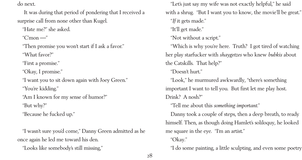do next.

 It was during that period of pondering that I received a surprise call from none other than Kugel.

"Hate me?" she asked.

" $C'$ mon —"

"Then promise you won't start if I ask a favor."

"What favor?"

"First a promise."

"Okay, I promise."

"I want you to sit down again with Joey Green."

"You're kidding."

"Am I known for my sense of humor?"

"But why?"

"Because he fucked up."

"I wasn't sure you'd come," Danny Green admitted as he once again he led me toward his den. "Looks like somebody's still missing,"

"Let's just say my wife was not exactly helpful," he said with a shrug. "But I want you to know, the movie'll be great." "*If* it gets made." "It'll get made." "Not without a script." "Which is why you're here. Truth? I got tired of watching her play starfucker with *shaygetzes* who knew *bubkis* about the Catskills. That help?" "Doesn't hurt." "Look," he murmured awkwardly, "there's something important I want to tell you. But first let me play host. Drink? A nosh?" "Tell me about this *something important*." Danny took a couple of steps, then a deep breath, to ready himself. Then, as though doing Hamlet's soliloquy, he looked me square in the eye. "I'm an artist." "Okay." "I do some painting, a little sculpting, and even some poetry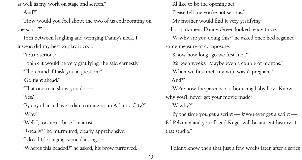as well as my work on stage and screen."

"And?"

"How would you feel about the two of us collaborating on the script?"

Torn between laughing and wringing Danny's neck, I instead did my best to play it cool.

"You're serious?"

"I think it would be very gratifying," he said earnestly.

"Then mind if I ask you a question?"

"Go right ahead."

"That one-man show you do —"

"Yes?"

"By any chance have a date coming up in Atlantic City?" "Why?"

"Well I, too, am a bit of an artist."

"R-really?" he murmured, clearly apprehensive.

"I do a little singing, some dancing —"

"Where's this headed?" he asked, his brow furrowed.

"I'd like to be the opening act." "Please tell me you're not serious." "My mother would find it very gratifying." For a moment Danny Green looked ready to cry. "W-why are you doing this?" he asked once he'd regained some measure of composure. "Know how long ago we first met?" "It's been weeks. Maybe even a couple of months." "When we first met, my wife wasn't pregnant." "And?" "We're now the parents of a bouncing baby boy. Know why you'll never get your movie made?" "W-why?" "By the time you get a script  $\frac{f}{f}$  you ever get a script  $\frac{f}{f}$ Ed Pelzman and your friend Kugel will be ancient history at that studio."

I didn't know then that just a few weeks later, after a series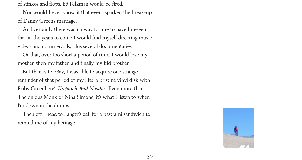

of stinkos and flops, Ed Pelzman would be fired.

Nor would I ever know if that event sparked the break-up of Danny Green's marriage.

And certainly there was no way for me to have foreseen that in the years to come I would find myself directing music videos and commercials, plus several documentaries.

Or that, over too short a period of time, I would lose my mother, then my father, and finally my kid brother.

But thanks to eBay, I was able to acquire one strange reminder of that period of my life: a pristine vinyl disk with Ruby Greenberg's *Kreplach And Noodle*. Even more than Thelonious Monk or Nina Simone, it's what I listen to when I'm down in the dumps.

Then off I head to Langer's deli for a pastrami sandwich to remind me of my heritage.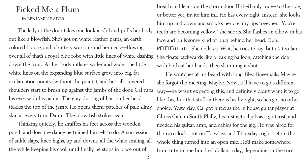- 
- 
- 
- 
- 

# Picked Me a Plum

#### by BENJAMIN RADER

The lady at the door takes one look at Cal and puffs her body out like a blowfish. She's got on white leather pants, an earth colored blouse, and a buttery scarf around her neck––flowing over all of that's a royal blue robe with little lines of white dashing down the front. As her body inflates wider and wider the little white lines on the expanding blue surface grow into big, fat exclamation points (without the points), and her silk covered shoulders start to brush up against the jambs of the door. Cal rubs his eyes with his palms. The gray-dusting of hair on her head tickles the top of the jamb. He opens them: patches of pale slimy skin at every turn. Damn. The blow fish strikes again.

Thinking quickly, he shuffles his feet across the wooden porch and does the dance he trained himself to do. A succession of ankle slaps, knee highs, up and downs, all the while smiling, all the while keeping his cool, until finally he stops in place out of

breath and leans on the storm door. If she'd only move to the side, or better yet, invite him in... He has every right. Instead, she looks him up and down and smacks her creamy lips together. "You're teeth are becoming yellow," she snorts. She flashes an elbow in his face and pulls some kind of plug behind her head. Duh. Pffffffffttttttttt. She deflates. Wait, he tries to say, but it's too late. She floats backwards like a leaking balloon, catching the door with both of her hands, then slamming it shut. He scratches at his beard with long, filed fingernails. Maybe she forgot the meeting. Maybe. Now, it'll have to go a different way––he wasn't expecting this, and definitely didn't want it to go like this, but that stuff in there is his by right, so he's got no other choice. Yesterday, Cal got hired as the in house guitar player at Chris's Cafe in South Philly, his first actual job as a guitarist, and needed his guitar, amp, and cables for the gig. He was hired for the 12 o clock spot on Tuesdays and Thursdays right before the whole thing turned into an open mic. He'd make somewhere from fifty to one hundred dollars a day, depending on the turn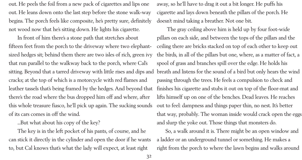out. He peels the foil from a new pack of cigarettes and lips one out. He leans down onto the last step before the stone walk-way begins. The porch feels like composite, he's pretty sure, definitely not wood now that he's sitting down. He lights his cigarette.

In front of him there's a stone path that stretches about fifteen feet from the porch to the driveway where two elephantsized hedges sit; behind them there are two isles of rich, green ivy that run parallel to the walkway back to the porch, where Cal's sitting. Beyond that a tarred driveway with little rises and dips and cracks; at the top of which is a motorcycle with red flames and leather tassels that's being framed by the hedges. And beyond that there's the road where the bus dropped him off and where, after this whole treasure fiasco, he'll pick up again. The sucking sounds of its cars comes in off the wind.

...But what about his copy of the key?

The key is in the left pocket of his pants, of course, and he can stick it directly in the cylinder and open the door if he wants to, but Cal knows that's what the lady will expect, at least right

away, so he'll have to drag it out a bit longer. He puffs his cigarette and lays down beneath the pillars of the porch. He doesn't mind taking a breather. Not one bit. The gray ceiling above him is held up by four foot-wide pillars on each side, and between the tops of the pillars and the ceiling there are bricks stacked on top of each other to keep out the birds, in all of the pillars but one, where, as a matter of fact, a spool of grass and branches spill over the edge. He holds his breath and listens for the sound of a bird but only hears the wind passing through the trees. He feels a compulsion to check and finishes his cigarette and stubs it out on top of the floor-mat and lifts himself up on one of the benches. Dead leaves. He reaches out to feel: dampness and things paper thin, no nest. It's better that way, probably. The woman inside would crack open the eggs and slurp the yoke out. Those things that monsters do. So, a walk around it is. There might be an open window and a ladder or an underground tunnel or something. He makes a right from the porch to where the lawn begins and walks around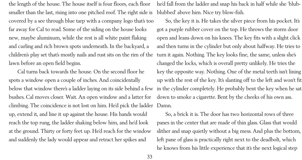the length of the house. The house itself is four floors, each floor smaller than the last, rising into one pitched roof. The right side is covered by a see through blue tarp with a company logo that's too far away for Cal to read. Some of the siding on the house looks new, maybe aluminum, while the rest is all white paint flaking and curling and rich brown spots underneath. In the backyard, a children's play set that's mostly nails and rust sits on the rim of the lawn before an open field begins.

Cal turns back towards the house. On the second floor he spots a window open a couple of inches. And coincidentally below that window there's a ladder laying on its side behind a few bushes. Cal moves closer. Wait. An open window and a latter for climbing. The coincidence is not lost on him. He'd pick the ladder up, extend it, and line it up against the house. His hands would reach the top rung, the ladder shaking below him, and he'd look at the ground. Thirty or forty feet up. He'd reach for the window and suddenly the lady would appear and retract her spikes and

he'd fall from the ladder and snap his back in half while she 'blubblubbed' above him. Nice try blow-fish. So, the key it is. He takes the silver piece from his pocket. It's got a purple rubber cover on the top. He throws the storm door open and leans down on his knees. The key fits with a slight click and then turns in the cylinder but only about halfway. He tries to turn it again. Nothing. The key looks fine, the same, unless she's changed the locks, which is overall pretty unlikely. He tries the key the opposite way. Nothing. One of the metal teeth isn't lining up with the rest of the key. It's slanting off to the left and won't fit in the cylinder completely. He probably bent the key when he sat down to smoke a cigarette. Bent by the cheeks of his own ass. Damn.

So, a brick it is. The door has two horizontal rows of three panes in the center that are made of thin glass. Glass that would slither and snap quietly without a big mess. And plus the bottom, left pane of glass is practically right next to the deadbolt, which he knows from his little experience that it's the next logical step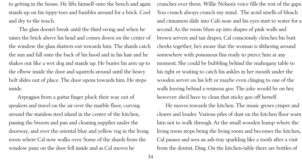to getting in the house. He lifts himself onto the bench and again stands up on his tippy-toes and fumbles around for a brick. Cool and dry to the touch.

 The glass doesn't break until the third swing and when he raises the brick above his head and comes down on the center of the window the glass shatters out towards him. The shards catch the sun and fall onto the back of his hood and in his hair and he shakes out like a wet dog and stands up. He buries his arm up to the elbow inside the door and squirrels around until the heavy bolt slides out of place. The door opens towards him. He steps inside.

Arpeggios from a guitar finger pluck their way out of speakers and travel on the air over the marble floor, curving around the stainless steel island in the center of the kitchen, passing the broom and pan and cleaning supplies under the doorway, and over the oriental blue and yellow rug in the living room where Cal now walks over. Some of the shards from the window pane on the door fell inside and as Cal moves he

crunches over them. Willie Nelson's voice fills the rest of the gaps: You crunch always crunch my mind. The acrid smells of bleach and cinnamon slide into Cal's nose and his eyes start to water for a second. As the room blurs up into shapes of pink walls and brown servers and tan drapes, Cal consciously clenches his butt cheeks together; he's aware that the woman is slithering around somewhere with poisonous fins ready to pierce him at any moment. She could be bubbling behind the mahogany table to his right or waiting to catch his ankles in her mouth under the wooden server on his left or maybe even clinging to one of the walls leaving behind a resinous goo. The joke would be on her, however: she'd have to clean that sticky goo off herself.

He moves towards the kitchen. The music grows crisper and clearer and louder. Various piles of dust on the kitchen floor warn him not to walk through. At the small wooden hump where the living room stops being the living room and becomes the kitchen, Cal pauses and sees an ash-tray sparkling like a tooth after a visit from the dentist. Ding. On the kitchen-table there are bottles of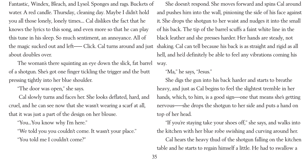Fantastic, Windex, Bleach, and Lysol. Sponges and rags. Buckets of water. A red candle. Thursday, cleaning day. Maybe I didn't hold you all those lonely, lonely times.... Cal dislikes the fact that he knows the lyrics to this song, and even more so that he can play this tune in his sleep. So much sentiment, an annoyance. All of the magic sucked out and left—– Click. Cal turns around and just about doubles over.

The woman's there squinting an eye down the slick, fat barrel of a shotgun. She's got one finger tickling the trigger and the butt pressing tightly into her blue shoulder.

"The door was open," she says.

 Cal slowly turns and faces her. She looks deflated, hard, and cruel, and he can see now that she wasn't wearing a scarf at all, that it was just a part of the design on her blouse.

"You...You know why I'm here."

"We told you you couldn't come. It wasn't your place." "You told me I couldn't come?"

She doesn't respond. She moves forward and spins Cal around and pushes him into the wall, pinioning the side of his face against it. She drops the shotgun to her waist and nudges it into the small of his back. The tip of the barrel scuffs a faint white line in the black leather and she presses harder. Her hands are steady, not shaking. Cal can tell because his back is as straight and rigid as all hell, and he'd definitely be able to feel any vibrations coming his way.

"Ma," he says, "Jesus." She digs the gun into his back harder and starts to breathe heavy, and just as Cal begins to feel the slightest tremble in her hands, which, to him, is a good sign—one that means she's getting nervous—–she drops the shotgun to her side and puts a hand on top of her head.

"If you're staying take your shoes off," she says, and walks into the kitchen with her blue robe swishing and curving around her. Cal hears the heavy thud of the shotgun falling on the kitchen table and he starts to regain himself a little. He had to swallow a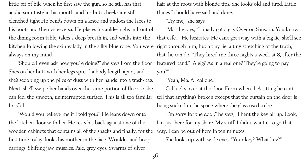little bit of bile when he first saw the gun, so he still has that acidic-sour taste in his mouth, and his butt cheeks are still clenched tight He bends down on a knee and undoes the laces to his boots and then vice-versa. He places his ankle-highs in front of the dining room table, takes a deep breath in, and walks into the kitchen following the skinny lady in the silky blue robe. You were always on my mind.

"Should I even ask how you're doing?" she says from the floor. She's on her butt with her legs spread a body length apart, and she's scooping up the piles of dust with her hands into a trash-bag. Next, she'll swipe her hands over the same portion of floor so she can feel the smooth, uninterrupted surface. This is all too familiar for Cal.

"Would you believe me if I told you?" He leans down onto the kitchen floor with her. He rests his back against one of the wooden cabinets that contains all of the snacks and finally, for the first time today, looks his mother in the face. Wrinkles and hoop earrings. Shifting jaw muscles. Pale, grey eyes. Swarms of silver

hair at the roots with blonde tips. She looks old and tired. Little things I should have said and done. "Try me," she says. "Ma," he says, "I finally got a gig. Over on Sansom. You know that cafe..." He hesitates. He can't get away with a big lie, she'll see right through him, but a tiny lie, a tiny stretching of the truth, that, he can do. "They hired me three nights a week at 8, after the featured band." "A gig? As in a real one? They're going to pay you?"

"Yeah, Ma. A real one." Cal looks over at the door. From where he's sitting he can't tell that anything's broken except that the curtain on the door is being sucked in the space where the glass used to be. "I'm sorry for the door," he says, "I bent the key all up. Look, I'm just here for my share. My stuff. I didn't want it to go that way. I can be out of here in ten minutes." She looks up with wide eyes. "Your key? What key?"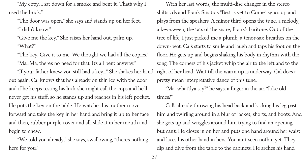"My copy. I sat down for a smoke and bent it. That's why I used the brick."

"The door was open," she says and stands up on her feet. "I didn't know."

"Give me the key." She raises her hand out, palm up. "What?"

"The key. Give it to me. We thought we had all the copies." "Ma...Ma, there's no need for that. It's all bent anyway."

"If your father knew you still had a key..." She shakes her hand out again. Cal knows that he's already on thin ice with the door and if he keeps testing his luck she might call the cops and he'll never get his stuff, so he stands up and reaches in his left pocket. He puts the key on the table. He watches his mother move forward and take the key in her hand and bring it up to her face and then, rubber purple cover and all, slide it in her mouth and begin to chew.

"We told you already," she says, swallowing, "there's nothing here for you."

With her last words, the multi-disc changer in the stereo shifts cds and Frank Sinatra's "Best is yet to Come" syncs up and plays from the speakers. A minor third opens the tune, a melody, a key-sweep, the tats of the snare, Frank's baritone: Out of the tree of life, I just picked me a plumb, a tenor-sax breathes on the down-beat. Cal's starts to smile and laugh and taps his foot on the floor. He gets up and begins shaking his body in rhythm with the song. The corners of his jacket whip the air to the left and to the right of her head. Wait till the warm up is underway. Cal does a pretty mean interpretative dance of this tune. "Ma, what'dya say?" he says, a finger in the air. "Like old times?"

Cal's already throwing his head back and kicking his leg past him and twirling around in a blur of jacket, shorts, and boots. And she gets up and wriggles around him trying to find an opening, but can't. He closes in on her and puts one hand around her waist and laces his other hand in hers. You ain't seen nothin yet. They dip and dive from the table to the cabinets. He arches his hand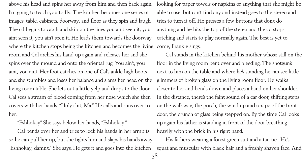above his head and spins her away from him and then back again. I'm going to teach you to fly. The kitchen becomes one series of images: table, cabinets, doorway, and floor as they spin and laugh. The cd begins to catch and skip on the lines you aint seen it, you aint seen it, you ain't seen it. He leads them towards the doorway where the kitchen stops being the kitchen and becomes the living room and Cal arches his hand up again and releases her and she spins over the mound and onto the oriental rug. You ain't, you aint, you aint. Her foot catches on one of Cal's ankle high boots and she stumbles and loses her balance and slams her head on the living room table. She lets out a little yelp and drops to the floor. Cal sees a stream of blood coming from her nose which she then covers with her hands. "Holy shit, Ma." He calls and runs over to her.

"Eshhokay" She says below her hands, "Eshhokay."

Cal bends over her and tries to lock his hands in her armpits so he can pull her up, but she fights him and slaps his hands away. "Eshhokay, damn't." She says. He gets it and goes into the kitchen

looking for paper towels or napkins or anything that she might be able to use, but can't find any and instead goes to the stereo and tries to turn it off. He presses a few buttons that don't do anything and he hits the top of the stereo and the cd stops catching and starts to play normally again. The best is yet to come, Frankie sings.

Cal stands in the kitchen behind his mother whose still on the floor in the living room bent over and bleeding. The shotgun's next to him on the table and where he's standing he can see little glimmers of broken glass on the living room floor. He walks closer to her and bends down and places a hand on her shoulder. In the distance, there's the faint sound of a car door, shifting steps on the walkway, the porch, the wind up and scrape of the front door, the crunch of glass being stepped on. By the time Cal looks up again his father is standing in front of the door breathing heavily with the brick in his right hand. His father's wearing a forest green suit and a tan tie. He's squat and muscular with black hair and a freshly shaven face. And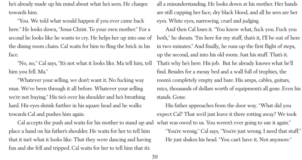he's already made up his mind about what he's seen. He charges towards him.

"You. We told what would happen if you ever came back here." He looks down, "Jesus Christ. To your own mother." For a second he looks like he wants to cry. He helps her up into one of the dining room chairs. Cal waits for him to fling the brick in his face.

"No, no," Cal says, "It's not what it looks like. Ma tell him, tell him you fell. Ma."

"Whatever your selling, we don't want it. No fucking way man. We've been through it all before. Whatever your selling we're not buying." His tie's over his shoulder and he's breathing hard. His eyes shrink further in his square head and he walks towards Cal and pushes him again.

Cal accepts the push and waits for his mother to stand up and what was owed to us. You weren't ever going to use it again." place a hand on his father's shoulder. He waits for her to tell him that it isn't what it looks like. That they were dancing and having fun and she fell and tripped. Cal waits for her to tell him that it's

all a misunderstanding. He looks down at his mother. Her hands are still cupping her face, dry black blood, and all he sees are her eyes. White eyes, narrowing, cruel and judging. And then Cal loses it. "You know what, fuck you. Fuck you both," he shouts. "I'm here for my stuff, that's it, I'll be out of here in two minutes." And finally, he runs up the first flight of steps, up the second, and into his old room. Just his stuff. That's it. That's why he's here. His job. But he already knows what he'll find. Besides for a messy bed and a wall full of trophies, the room's completely empty and bare. His amps, cables, guitars, mics, thousands of dollars worth of equipment's all gone. Even his stands. Gone.

His father approaches from the door way. "What did you expect Cal? That we'd just leave it there rotting away? We took "You're wrong," Cal says, "You're just wrong. I need that stuff." He just shakes his head. "You can't have it. Not anymore."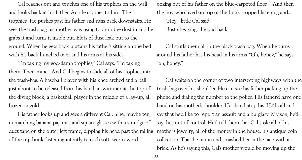Cal reaches out and touches one of his trophies on the wall and looks back at his father. An idea comes to him. The trophies...He pushes past his father and runs back downstairs. He sees the trash bag his mother was using to drop the dust in and he grabs it and turns it inside out. Blots of dust leak out to the ground. When he gets back upstairs his father's sitting on the bed with his back hunched over and his arms at his sides.

"I'm taking my god-damn trophies," Cal says, "I'm taking them. Their mine." And Cal begins to slide all of his trophies into the trash-bag. A baseball player with his knee arched and a ball just about to be released from his hand, a swimmer at the top of the diving block, a basketball player in the middle of a lay-up, all frozen in gold.

His father looks up and sees a different Cal, nine, maybe ten, in matching banana pajamas and square glasses with a smudge of duct tape on the outer left frame, dipping his head past the railing of the top bunk, listening intently to each soft, warm word

oozing out of his father on the blue-carpeted floor––And then the boy who lived on top of the bunk stopped listening and... "Hey," little Cal said. "Just checking," he said back.

Cal stuffs them all in the black trash bag. When he turns around his father has his head in his arms. "Oh, honey," he says, "oh, honey."

Cal waits on the corner of two intersecting highways with the trash-bag over his shoulder. He can see his father picking up the phone and dialing the number to the police. His father'd have one hand on his mother's shoulder. Her hand atop his. He'd call and say that he'd like to report an assault and a burglary. My son, he'd say, he's out of control. He'd tell them that Cal stole all of his mother's jewelry, all of the money in the house, his antique coin collection. That he ran in and smashed her in the face with a brick. As he's saying this, Cal's mother would be moving up the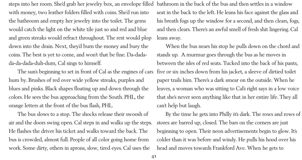steps into her room. She'd grab her jewelry box, an envelope filled with money, two leather folders filled with coins. She'd run into the bathroom and empty her jewelry into the toilet. The gems would catch the light on the white tile just so and red and blue and green streaks would refract throughout. The rest would plop down into the drain. Next, they'd burn the money and bury the coins. The best is yet to come, and won't that be fine. Da-dadada-da-dada-duh-dum, Cal sings to himself.

The sun's beginning to set in front of Cal as the engines of cars hum by. Brushes of red over wide yellow streaks, purples and blues and pinks. Black shapes floating up and down through the colors. He sees the bus approaching from the South. PHL, the orange letters at the front of the bus flash, PHL.

The bus slows to a stop. The shocks release their swoosh of air and the doors swing open. Cal steps in and walks up the steps. He flashes the driver his ticket and walks toward the back. The bus is crowded, almost full. People of all color going home from work. Some dirty, others in aprons, slow, tired eyes. Cal uses the

bathroom in the back of the bus and then settles in a window seat in the back to the left. He leans his face against the glass and his breath fogs up the window for a second, and then clears, fogs, and then clears. There's an awful smell of fresh shit lingering. Cal leans away.

When the bus nears his stop he pulls down on the chord and stands up. A murmur goes through the bus as he moves in between the isles of red seats. Tucked into the back of his pants, five or six inches down from his jacket, a sleeve of dirtied toilet paper trails him. There's a dark smear on the outside. When he leaves, a woman who was sitting to Cal's right says in a low voice that she's never seen anything like that in her entire life. They all can't help but laugh.

By the time he gets into Philly it's dark. The rows and rows of stores are barred up, closed. The bars on the corners are just beginning to open. Their neon advertisements begin to glow. It's colder than it was before and windy. He pulls his hood over his head and moves towards Frankford Ave. When he gets to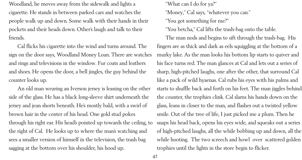Woodland, he moves away from the sidewalk and lights a cigarette. He stands in between parked cars and watches the people walk up and down. Some walk with their hands in their pockets and their heads down. Other's laugh and talk to their friends.

Cal flicks his cigarette into the wind and turns around. The sign on the door says, Woodland Money Loan. There are watches and rings and televisions in the window. Fur coats and leathers and shoes. He opens the door, a bell jingles, the guy behind the counter looks up.

An old man wearing an Iverson jersey is leaning on the other side of the glass. He has a black long-sleeve shirt underneath the jersey and jean shorts beneath. He's mostly bald, with a swirl of brown hair in the center of his head. One gold stud pokes through his right ear. His head's pointed up towards the ceiling, to the right of Cal. He looks up to where the man's watching and sees a smaller version of himself in the television, the trash bag sagging at the bottom over his shoulder, his hood up.

"What can I do for ya?" "Money," Cal says, "whatever you can." "You got something for me?" "You betcha," Cal lifts the trash-bag onto the table. The man nods and begins to sift through the trash-bag. His fingers are as thick and dark as eels squiggling at the bottom of a murky lake. As the man looks his bottom lip starts to quiver and his face turns red. The man glances at Cal and lets out a series of sharp, high-pitched laughs, one after the other, that surround Cal like a pack of wild hyaenas. Cal rubs his eyes with his palms and starts to shuffle back and forth on his feet. The man jiggles behind the counter, the trophies clink. Cal slams his hands down on the glass, leans in closer to the man, and flashes out a twisted yellow smile. Out of the tree of life, I just picked me a plum. Then he snaps his head back, opens his eyes wide, and squeaks out a series of high-pitched laughs, all the while bobbing up and down, all the while hooting. The two screech and howl over scattered golden trophies until the lights in the store begin to flicker.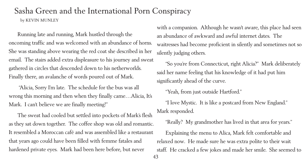- 
- 

## Sasha Green and the International Porn Conspiracy by KEVIN MUNLEY

Running late and running, Mark hustled through the oncoming traffic and was welcomed with an abundance of horns. She was standing above wearing the red coat she described in her email. The stairs added extra displeasure to his journey and sweat gathered in circles that descended down to his netherworlds. Finally there, an avalanche of words poured out of Mark.

 "Alicia, Sorry I'm late. The schedule for the bus was all wrong this morning and then when they finally came…Alicia, It's Mark. I can't believe we are finally meeting!"

The sweat had cooled but settled into pockets of Mark's flesh as they sat down together. The coffee shop was old and romantic. It resembled a Moroccan café and was assembled like a restaurant that years ago could have been filled with femme fatales and hardened private eyes. Mark had been here before, but never

with a companion. Although he wasn't aware, this place had seen an abundance of awkward and awful internet dates. The waitresses had become proficient in silently and sometimes not so silently judging others.

"So you're from Connecticut, right Alicia?" Mark deliberately said her name feeling that his knowledge of it had put him significantly ahead of the curve.

"Yeah, from just outside Hartford." "I love Mystic. It is like a postcard from New England." Mark responded. "Really? My grandmother has lived in that area for years." Explaining the menu to Alica, Mark felt comfortable and relaxed now. He made sure he was extra polite to their wait staff. He cracked a few jokes and made her smile. She seemed to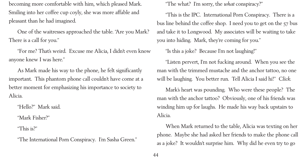becoming more comfortable with him, which pleased Mark. Smiling into her coffee cup coyly, she was more affable and pleasant than he had imagined.

One of the waitresses approached the table. "Are you Mark? There is a call for you."

"For me? That's weird. Excuse me Alicia, I didn't even know anyone knew I was here."

As Mark made his way to the phone, he felt significantly important. This phantom phone call couldn't have come at a better moment for emphasizing his importance to society to Alicia.

"Hello?" Mark said.

"Mark Fisher?"

"This is?"

"The International Porn Conspiracy. I'm Sasha Green."

"The what? I'm sorry, the *what* conspiracy?" you into hiding. Mark, they're coming for you." "Is this a joke? Because I'm not laughing!" Alicia.

- 
- "This is the IPC. International Porn Conspiracy. There is a bus line behind the coffee shop. I need you to get on the 57 bus and take it to Longwood. My associates will be waiting to take
	-
- "Listen pervert, I'm not fucking around. When you see the man with the trimmed mustache and the anchor tattoo, no one will be laughing. You better run. Tell Alicia I said hi!" *Click*.
- Mark's heart was pounding. Who were these people? The man with the anchor tattoo? Obviously, one of his friends was winding him up for laughs. He made his way back upstairs to
- When Mark returned to the table, Alicia was texting on her phone. Maybe she had asked her friends to make the phone call as a joke? It wouldn't surprise him. Why did he even try to go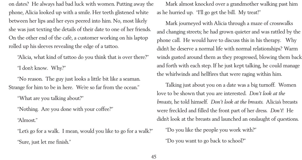on dates? He always had bad luck with women. Putting away the phone, Alicia looked up with a smile. Her teeth glistened white between her lips and her eyes peered into him. No, most likely she was just texting the details of their date to one of her friends. On the other end of the café, a customer working on his laptop rolled up his sleeves revealing the edge of a tattoo.

"Alicia, what kind of tattoo do you think that is over there?" "I don't know. Why?"

"No reason. The guy just looks a little bit like a seaman. Strange for him to be in here. We're so far from the ocean."

"What are you talking about?"

"Nothing. Are you done with your coffee?"

"Almost."

"Let's go for a walk. I mean, would you like to go for a walk?" "Sure, just let me finish."

as he hurried up. "I'll go get the bill. My treat!"

- Mark almost knocked over a grandmother walking past him
- Mark journeyed with Alicia through a maze of crosswalks and changing streets; he had grown quieter and was rattled by the phone call. He would have to discuss this in his therapy. Why didn't he deserve a normal life with normal relationships? Warm winds gusted around them as they progressed, blowing them back and forth with each step. If he just kept talking, he could manage
- Talking just about you on a date was a big turnoff. Women love to be shown that you are interested. *Don't look at the breasts*, he told himself. *Don't look at the breasts*. Alicia's breasts were freckled and filled the front part of her dress. *Don't*! He didn't look at the breasts and launched an onslaught of questions.
	-

the whirlwinds and hellfires that were raging within him.

"Do you like the people you work with?" "Do you want to go back to school?"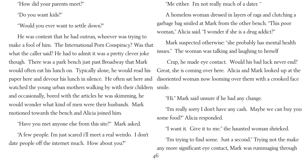"How did your parents meet?"

"Do you want kids?"

"Would you ever want to settle down?"

He was content that he had outrun, whoever was trying to make a fool of him. The International Porn Conspiracy? Was that what the caller said? He had to admit it was a pretty clever joke though. There was a park bench just past Broadway that Mark would often eat his lunch on. Typically alone, he would read his paper here and devour his lunch in silence. He often sat here and watched the young urban mothers walking by with their children and occasionally, bored with the articles he was skimming, he would wonder what kind of men were their husbands. Mark motioned towards the bench and Alicia joined him.

"Have you met anyone else from this site?" Mark asked.

46 "Hi." Mark said unsure if he had any change. some food?" Alicia responded.

"A few people. I'm just scared i'll meet a real weirdo. I don't date people off the internet much. How about you?"

"Me either. I'm not really much of a dater."

woman," Alicia said. "I wonder if she is a drug addict?"

- 
- A homeless woman dressed in layers of rags and clutching a garbage bag smiled at Mark from the other bench. "This poor
- Mark suspected otherwise: "she probably has mental health issues." The woman was talking and laughing to herself
- Crap, he made eye contact. Would his bad luck never end? Great, she is coming over here. Alicia and Mark looked up at the disoriented woman now looming over them with a crooked face
	-
	- "I'm really sorry I don't have any cash. Maybe we can buy you
	- "I want it. Give it to me." the haunted woman shrieked.
- "I'm trying to find some. Just a second." Trying not the make any more significant eye contact, Mark was rummaging through

smile.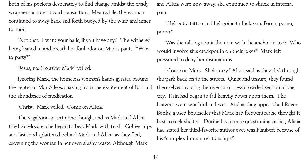both of his pockets desperately to find change amidst the candy wrappers and debit card transactions. Meanwhile, the woman continued to sway back and forth buoyed by the wind and inner turmoil.

"Not that. I want your balls, if you have any." The withered being leaned in and breath her foul odor on Mark's pants. "Want to party?"

"Jesus, no. Go away Mark" yelled.

Ignoring Mark, the homeless woman's hands gyrated around the center of Mark's legs, shaking from the excitement of lust and the abundance of medication.

"Christ," Mark yelled. "Come on Alicia."

The vagabond wasn't done though, and as Mark and Alicia tried to relocate, she began to beat Mark with trash. Coffee cups and fast food splattered behind Mark and Alicia as they fled, drowning the woman in her own slushy waste. Although Mark

and Alicia were now away, she continued to shriek in internal pain.

"He's gotta tattoo and he's going to fuck you. Porno, porno, porno."

Was she talking about the man with the anchor tattoo? Who would involve this crackpot in on their jokes? Mark felt pressured to deny her insinuations.

"Come on Mark. She's crazy." Alicia said as they fled through the park back on to the streets. Quiet and unsure, they found themselves crossing the river into a less crowded section of the city. Rain had began to fall heavily down upon them. The heavens were wrathful and wet. And as they approached Raven Books, a used bookseller that Mark had frequented; he thought it best to seek shelter. During his intense questioning earlier, Alicia had stated her third-favorite author ever was Flaubert because of his "complex human relationships."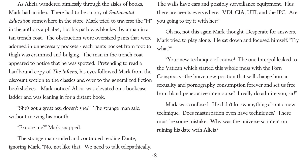As Alicia wandered aimlessly through the aisles of books, Mark had an idea. There had to be a copy of *Sentimental Education* somewhere in the store. Mark tried to traverse the "H" in the author's alphabet, but his path was blocked by a man in a tan trench coat. The obstruction wore oversized pants that were adorned in unnecessary pockets - each pants pocket from foot to thigh was crammed and bulging. The man in the trench coat appeared to notice that he was spotted. Pretending to read a hardbound copy of *The Inferno*, his eyes followed Mark from the discount section to the classics and over to the generalized fiction bookshelves. Mark noticed Alicia was elevated on a bookcase ladder and was leaning in for a distant book.

"She's got a great ass, doesn't she?" The strange man said without moving his mouth.

"Excuse me?" Mark snapped.

The strange man smiled and continued reading Dante, ignoring Mark. "No, not like that. We need to talk telepathically.

The walls have ears and possibly surveillance equipment. Plus there are agents everywhere: VDI, CIA, UTI, and the IPC. Are you going to try it with her?"

Oh no, not this again Mark thought. Desperate for answers, Mark tried to play along. He sat down and focused himself. "Try what?"

"Your new technique of course! The one Interpol leaked to the Vatican which started this whole mess with the Porn Conspiracy- the brave new position that will change human sexuality and pornography consumption forever and set us free from bland penetrative intercourse! I really do admire you, sir!"

Mark was confused. He didn't know anything about a new technique. Does masturbation even have techniques? There must be some mistake. Why was the universe so intent on ruining his date with Alicia?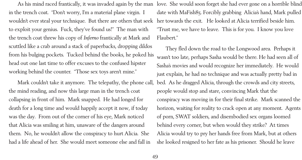in the trench coat. "Don't worry, I'm a material plane virgin. I wouldn't ever steal your technique. But there are others that seek to exploit your genius. Fuck, they've found us!" The man with the trench coat threw his copy of *Inferno* frantically at Mark and scuttled like a crab around a stack of paperbacks, dropping dildos from his bulging pockets. Tucked behind the books, he poked his head out one last time to offer excuses to the confused hipster working behind the counter. "Those sex toys aren't mine."

As his mind raced frantically, it was invaded again by the man love. She would soon forget she had ever gone on a horrible blind date with MaFish85. Forcibly grabbing Alicia's hand, Mark pulled her towards the exit. He looked at Alicia terrified beside him. "Trust me, we have to leave. This is for you. I know you love Flaubert."

Mark couldn't take it anymore. The telepathy, the phone call, the mind reading, and now this large man in the trench coat collapsing in front of him. Mark snapped. He had longed for death for a long time and would happily accept it now, if today was the day. From out of the corner of his eye, Mark noticed that Alicia was smiling at him, unaware of the dangers around them. No, he wouldn't allow the conspiracy to hurt Alicia. She had a life ahead of her. She would meet someone else and fall in

They fled down the road to the Longwood area. Perhaps it wasn't too late, perhaps Sasha would be there. He had seen all of Sasha's movies and would recognize her immediately. He would just explain, he had no technique and was actually pretty bad in bed. As he dragged Alicia, through the crowds and city streets, people would stop and stare, convincing Mark that the conspiracy was moving in for their final strike. Mark scanned the horizon, waiting for reality to crack open at any moment. Agents of porn, SWAT soldiers, and disembodied sex organs loomed behind every corner, but when would they strike? At times Alicia would try to pry her hands free from Mark, but at others she looked resigned to her fate as his prisoner. Should he leave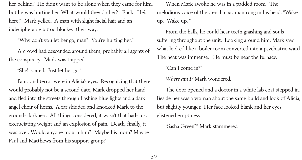her behind? He didn't want to be alone when they came for him, but he was hurting her. What would they do her? "Fuck. He's here!" Mark yelled. A man with slight facial hair and an indecipherable tattoo blocked their way.

"Why don't you let her go, man? You're hurting her."

A crowd had descended around them, probably all agents of the conspiracy. Mark was trapped.

"She's scared. Just let her go."

Panic and terror were in Alicia's eyes. Recognizing that there would probably not be a second date, Mark dropped her hand and fled into the streets through flashing blue lights and a dark angel choir of horns. A car skidded and knocked Mark to the ground- darkness. All things considered, it wasn't that bad- just excruciating weight and an explosion of pain. Death, finally, it was over. Would anyone mourn him? Maybe his mom? Maybe Paul and Matthews from his support group?

When Mark awoke he was in a padded room. The melodious voice of the trench coat man rung in his head, "Wake up. Wake up. "

From the halls, he could hear teeth gnashing and souls suffering throughout the unit. Looking around him, Mark saw what looked like a boiler room converted into a psychiatric ward. The heat was immense. He must be near the furnace.

"Can I come in?"

*Where am I?* Mark wondered.

The door opened and a doctor in a white lab coat stepped in. Beside her was a woman about the same build and look of Alicia, but slightly younger. Her face looked blank and her eyes glistened emptiness.

"Sasha Green?" Mark stammered.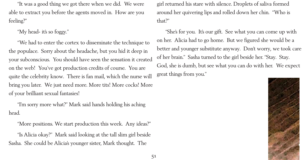

"It was a good thing we got there when we did. We were able to extract you before the agents moved in. How are you feeling?"

"My head- it's so foggy."

"We had to enter the cortex to disseminate the technique to the populace. Sorry about the headache, but you hid it deep in your subconscious. You should have seen the sensation it created on the web! You've got production credits of course. You are quite the celebrity know. There is fan mail, which the nurse will bring you later. We just need more. More tits! More cocks! More of your brilliant sexual fantasies!

"I'm sorry more what?" Mark said hands holding his aching head.

"She's for you. It's our gift. See what you can come up with on her. Alicia had to go home. But we figured she would be a better and younger substitute anyway. Don't worry, we took care of her brain." Sasha turned to the girl beside her. "Stay. Stay. God, she is dumb, but see what you can do with her. We expect great things from you."

"More positions. We start production this week. Any ideas?"

"Is Alicia okay?" Mark said looking at the tall slim girl beside Sasha. She could be Alicia's younger sister, Mark thought. The

girl returned his stare with silence. Droplets of saliva formed around her quivering lips and rolled down her chin. "Who is that?"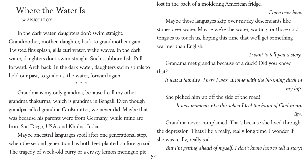## Where the Water Is

by ANJOLI ROY

In the dark water, daughters don't swim straight. Grandmother, mother, daughter, back to grandmother again. Twisted fins splash, gills curl water, wake waves. In the dark water, daughters don't swim straight. Such stubborn fish. Pull forward. Arch back. In the dark water, daughters swim spirals to hold our past, to guide us, the water, forward again.

**\* \* \***

52 Maybe ancestral languages spoil after one generational step, when the second generation has both feet planted on foreign soil. The tragedy of week-old curry or a crusty lemon meringue pie

Grandma is my only grandma, because I call my other grandma thakurma, which is grandma in Bengali. Even though grandpa called grandma Großmutter, we never did. Maybe that was because his parents were from Germany, while mine are from San Diego, USA, and Khulna, India.

lost in the back of a moldering American fridge.

*Come over here*.

Maybe those languages skip over murky descendants like stones over water. Maybe we're the water, waiting for those cold tongues to touch us, hoping this time that we'll get something

# warmer than English.

*I want to tell you a story.* Grandma met grandpa because of a duck! Did you know

that?

*It was a Sunday. There I was, driving with the blooming duck in my lap.*

She picked him up off the side of the road! *. . . It was moments like this when I feel the hand of God in my life.*

Grandma never complained. That's because she lived through the depression. That's like a really, really long time. I wonder if she was really, really sad. *But I'm getting ahead of myself. I don't know how to tell a story!*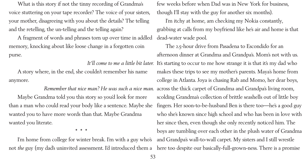What is this story if not the tinny recording of Grandma's voice stuttering on your tape recorder? The voice of your sisters, your mother, disagreeing with you about the details? The telling and the retelling, the un-telling and the telling again?

A fragment of words and phrases torn up over time in addled memory, knocking about like loose change in a forgotten coin purse.

A story where, in the end, she couldn't remember his name anymore.

*Remember that nice man? He was such a nice man*. Maybe Grandma told you this story so you'd look for more than a man who could read your body like a sentence. Maybe she wanted you to have more words than that. Maybe Grandma wanted you literate.

**\* \* \***

It'll come to me a little bit later. It's starting to occur to me how strange it is that it's my dad who few weeks before when Dad was in New York for business, though I'll stay with the guy for another six months). I'm itchy at home, am checking my Nokia constantly, grabbing at calls from my boyfriend like he's air and home is that dead-water wade pool. The 2.5-hour drive from Pasadena to Escondido for an afternoon dinner at Grandma and Grandpa's. Mom's not with us. makes these trips to see my mother's parents. Maya's home from college in Atlanta. Joya is chasing Rab and Momo, her dear boys, across the thick carpet of Grandma and Grandpa's living room, scolding Grandma's collection of brittle seashells out of little boy fingers. Her soon-to-be-husband Ben is there too—he's a good guy who she's known since high school and who has been in love with her since then, even though she only recently noticed him. The boys are tumbling over each other in the plush water of Grandma and Grandpa's wall-to-wall carpet. My sisters and I still wrestle

I'm home from college for winter break. I'm with a guy who's not *the* guy (my dad's uninvited assessment. I'd introduced them a here too despite our basically-full-grown-ness. There is a promise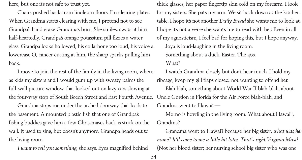here, but one it's not safe to trust yet.

Chairs pushed back from linoleum floors. I'm clearing plates. When Grandma starts clearing with me, I pretend not to see Grandpa's hand graze Grandma's bum. She smiles, swats at him half-heartedly. Grandpa's orange potassium pill fizzes a water glass. Grandpa looks hollowed, his collarbone too loud, his voice a lowercase O, cancer cutting at him, the sharp sparks pulling him back.

I move to join the rest of the family in the living room, where as kids my sisters and I would gum up with sweaty palms the full-wall picture window that looked out on lazy cars slowing at the four-way stop of South Beech Street and East Fourth Avenue.

Grandma stops me under the arched doorway that leads to the basement. A mounted plastic fish that one of Grandpa's fishing buddies gave him a few Christmases back is stuck on the wall. It used to sing, but doesn't anymore. Grandpa heads out to the living room.

*I want to tell you something*, she says. Eyes magnified behind

thick glasses, her paper fingertip skin cold on my forearm. I look for my sisters. She pats my arm. We sit back down at the kitchen table. I hope it's not another *Daily Bread* she wants me to look at. I hope it's not a verse she wants me to read with her. Even in all of my agnosticism, I feel bad for hoping this, but I hope anyway. Joya is loud-laughing in the living room. Something about a duck. Easter. The 40s. What?

I watch Grandma closely but don't hear much. I hold my ribcage, keep my gill flaps closed, not wanting to offend her. Blah blah, something about World War II blah-blah, about Uncle Gordon in Florida for the Air Force blah-blah, and Grandma went to Hawai'i— Momo is howling in the living room. What about Hawai'i, Grandma?

Grandma went to Hawai'i because her big sister, *what was her name? It'll come to me a little bit later. That's right Virginia Mast!* (Not her blood sister; her nursing school big sister who was one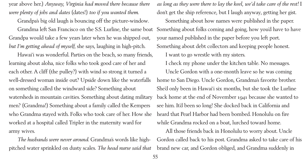year above her.) *Anyway, Virginia had moved there because there were plenty of jobs and dates* (dates!) *too if you wanted them*.

Grandpa's big old laugh is bouncing off the picture-window. Grandma left San Francisco on the S.S. Lurline, the same boat Grandpa would take a few years later when he was shipped out, *but I'm getting ahead of myself*, she says, laughing in high-pitch.

Hawai'i was wonderful. Parties on the beach, so many friends, learning about aloha, nice folks who took good care of her and each other. A cliff (the pulley?) with wind so strong it turned a well-dressed woman inside out? Upside down like the waterfalls on something called the windward side? Something about watersheds in mountain cavities. Something about dating military men? (Grandma!) Something about a family called the Kempers who Grandma stayed with. Folks who took care of her. How she worked at a hospital called Tripler in the maternity ward for army wives.

*The husbands were never around*. Grandma's words like highpitched water sprinkled on dusty scales. *The head nurse said that*

*as long as they were there to lay the keel, we'd take care of the rest!* I don't get the ship reference, but I laugh anyway, getting her gist. Something about how names were published in the paper. Something about folks coming and going, how you'd have to have your named published in the paper before you left port. Something about debt collectors and keeping people honest. I want to go wrestle with my sisters. I check my phone under the kitchen table. No messages. Uncle Gordon with a one-month leave so he was coming home to San Diego. Uncle Gordon, Grandma's favorite brother. She'd only been in Hawai'i six months, but she took the Lurline back home at the end of November 1941 because she wanted to see him. It'd been so long! She docked back in California and heard that Pearl Harbor had been bombed. Honolulu on fire while Grandma rocked on a boat, lurched toward home. All those friends back in Honolulu to worry about. Uncle Gordon called back to his post. Grandma asked to take care of his brand new car, and Gordon obliged, and Grandma suddenly in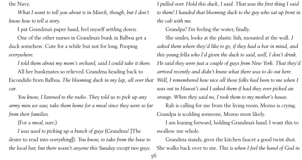56

the Navy.

*What I want to tell you about is in March, though, but I don't know how to tell a story*.

I pat Grandma's paper hand, feel myself settling down.

One of the other nurses in Grandma's bunk in Balboa got a duck somehow. Cute for a while but not for long. Pooping *everywhere*.

*I told them about my mom's orchard, said I could take it there*. All her bunkmates so relieved. Grandma heading back to Escondido from Balboa. *The blooming duck in my lap, all over that car*.

*You know, I listened to the radio. They told us to pick up any army men we saw, take them home for a meal since they were so far from their families*.

(For a *meal*, sure.)

*I was used to picking up a bunch of guys* (Grandma! [The desire to read into *everything*])*. You know, to take from the base to the local bar, but there wasn't anyone this Sunday except two guys.*

*I pulled over. Hold this duck, I said. That was the first thing I said to them! I handed that blooming duck to the guy who sat up front in the cab with me.*

Grandpa? I'm feeling the water, finally. She smiles, looks at the plastic fish, mounted at the wall*. I asked them where they'd like to go, if they had a bar in mind, and this young fella who I'd given the duck to said, well, I don't drink. He said they were just a couple of guys from New York. That they'd arrived recently and didn't know what there was to do out here. Well, I remembered how nice all those folks had been to me when I was out in Hawai'i and I asked them if had they ever picked an orange. When they said no, I took them to my mother's house*. Rab is calling for me from the living room. Momo is crying. Grandpa is scolding someone, Momo most likely. I am leaning forward, holding Grandma's hand. I want this to swallow me whole.

Grandma stands, gives the kitchen faucet a good twist shut. She walks back over to me. *This is when I feel the hand of God in*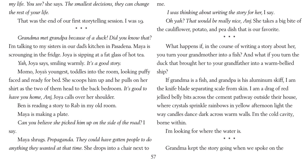*my life. You see?* she says. *The smallest decisions, they can change the rest of your life*.

That was the end of our first storytelling session. I was 19. **\* \* \***

*Grandma met grandpa because of a duck! Did you know that?* I'm talking to my sisters in our dad's kitchen in Pasadena. Maya is scrounging in the fridge. Joya is sipping at a fat glass of hot tea.

*Yah*, Joya says, smiling warmly. *It's a good story.*

Momo, Joya's youngest, toddles into the room, looking puffy faced and ready for bed. She scoops him up and he pulls on her shirt as the two of them head to the back bedroom. *It's good to have you home, Anj*, Joya calls over her shoulder.

Ben is reading a story to Rab in my old room. Maya is making a plate.

*Can you believe she picked him up on the side of the road?* I say.

Maya shrugs. *Propaganda. They could have gotten people to do anything they wanted at that time.* She drops into a chair next to

me.

 *I was thinking about writing the story for her*, I say. *Oh yah? That would be really nice, Anj*. She takes a big bite of the cauliflower, potato, and pea dish that is our favorite.

**\* \* \***

What happens if, in the course of writing a story about her, you turn your grandmother into a fish? And what if you turn the duck that brought her to your grandfather into a warm-bellied ship?

If grandma is a fish, and grandpa is his aluminum skiff, I am the knife blade separating scale from skin. I am a drag of red jellied belly bits across the cement pathway outside their house, where crystals sprinkle rainbows in yellow afternoon light the way candles dance dark across warm walls. I'm the cold cavity, borne within.

I'm looking for where the water is.

**\* \* \***

Grandma kept the story going when we spoke on the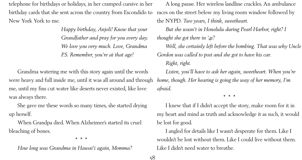telephone for birthdays or holidays, in her cramped cursive in her birthday cards that she sent across the country from Escondido to New York York to me.

> *Happy birthday, Anjoli! Know that your Grandfather and pray for you every day. We love you very much. Love, Grandma P.S. Remember, you're at that age!*

Grandma watering me with this story again until the words were heavy and full inside me, until it was all around and through me, until my fins cut water like deserts never existed, like love was always there.

She gave me these words so many times, she started drying up herself.

When Grandpa died. When Alzheimer's started its cruel bleaching of bones.

**\* \* \***

*How long was Grandma in Hawai'i again, Momma?*

A long pause. Her wireless landline crackles. An ambulance races on the street below my living room window followed by the NYPD. *Two years, I think, sweetheart*. *But she wasn't in Honolulu during Pearl Harbor, right? I thought she got there in '41? Well, she certainly left before the bombing. That was why Uncle Gordon was called to post and she got to have his car. Right, right*. *Listen, you'll have to ask her again, sweetheart. When you're home, though. Her hearing is going the way of her memory, I'm afraid.*

**\* \* \***

I knew that if I didn't accept the story, make room for it in my heart and mind as truth and acknowledge it as such, it would be lost for good.

I angled for details like I wasn't desperate for them. Like I wouldn't be lost without them. Like I could live without them. Like I didn't need water to breathe.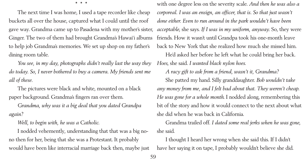**\* \* \***

The next time I was home, I used a tape recorder like cheap buckets all over the house, captured what I could until the roof gave way. Grandma came up to Pasadena with my mother's sister, Ginger. The two of them had brought Grandma's Hawai'i albums to help job Grandma's memories. We set up shop on my father's dining room table.

*You see, in my day, photographs didn't really last the way they do today. So, I never bothered to buy a camera. My friends sent me all of these.*

The pictures were black and white, mounted on a black paper background. Grandma's fingers ran over them.

*Grandma, why was it a big deal that you dated Grandpa again?*

*Well, to begin with, he was a Catholic*.

I nodded vehemently, understanding that that was a big nono then for her, being that she was a Protestant. It probably would have been like interracial marriage back then, maybe just

with one degree less on the severity scale. *And then he was also a corporeal. I was an ensign, an officer, that is. So that just wasn't done either. Even to run around in the park wouldn't have been acceptable*, she says. *If I was in my uniform, anyway.* So, they were friends. How it wasn't until Grandpa took his one-month leave back to New York that she realized how much she missed him. He'd asked her before he left what he could bring her back. *Hoes*, she said. *I wanted black nylon hoes*. *A racy gift to ask from a friend, wasn't it, Grandma?* She patted my hand. Silly granddaughter. *Bob wouldn't take any money from me, and I felt bad about that. They weren't cheap*. *He was gone for a whole month*. I nodded along, remembering this bit of the story and how it would connect to the next about what she did when he was back in California. Grandma trailed off. *I dated some real jerks when he was gone*, she said.

I thought I heard her wrong when she said this. If I didn't have her saying it on tape, I probably wouldn't believe she did.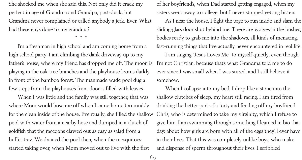She shocked me when she said this. Not only did it crack my perfect image of Grandma and Grandpa, post-duck, but Grandma never complained or called anybody a jerk. Ever. What had these guys done to my grandma?

**\* \* \***

I'm a freshman in high school and am coming home from a high school party. I am climbing the dank driveway up to my father's house, where my friend has dropped me off. The moon is playing in the oak tree branches and the playhouse looms darkly in front of the bamboo forest. The manmade wade pool dug a few steps from the playhouse's front door is filled with leaves.

When I was little and the family was still together, that was where Mom would hose me off when I came home too muddy for the clean inside of the house. Eventually, she filled the shallow pool with water from a nearby hose and dumped in a clutch of goldfish that the raccoons clawed out as easy as salad from a buffet tray. We drained the pool then, when the mosquitoes started taking over, when Mom moved out to live with the first

of her boyfriend's, when Dad started getting engaged, when my sisters went away to college, but I never stopped getting bitten. As I near the house, I fight the urge to run inside and slam the sliding-glass door shut behind me. There are wolves in the bushes, bodies ready to grab me into the shadows, all kinds of menacing, fast-running things that I've actually never encountered in real life. I am singing "Jesus Loves Me" to myself quietly, even though I'm not Christian, because that's what Grandma told me to do ever since I was small when I was scared, and I still believe it somehow.

When I collapse into my bed, I drop like a stone into the shallow clutches of sleep, my heart still racing. I am tired from drinking the better part of a forty and fending off my boyfriend Chris, who is determined to take my virginity, which I refuse to give him. I am swimming through something I learned in bio that day: about how girls are born with all of the eggs they'll ever have in their lives. That this was completely unlike boys, who make and dispense of sperm throughout their lives. I scribbled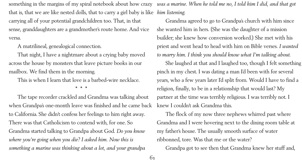- 
- 
- 

to California. She didn't confess her feelings to him right away. There was that Catholicism to contend with, for one. So Grandma started talking to Grandpa about God. *Do you know where you're going when you die? I asked him. Now this is something a marine was thinking about a lot, and your grandpa*

something in the margins of my spiral notebook about how crazy *was a marine. When he told me no, I told him I did, and that got* that is, that we are like nested dolls, that to carry a girl baby is like *him listening*. carrying all of your potential grandchildren too. That, in that sense, granddaughters are a grandmother's route home. And vice versa. A matrilineal, genealogical connection. That night, I have a nightmare about a crying baby moved across the house by monsters that leave picture books in our mailbox. We find them in the morning. This is when I learn that love is a barbed-wire necklace. **\* \* \*** The tape recorder crackled and Grandma was talking about when Grandpa's one-month leave was finished and he came back Grandma agreed to go to Grandpa's church with him since she wanted him in hers. (She was the daughter of a mission builder; she knew how conversion worked.) She met with his priest and went head to head with him on Bible verses. *I wanted to marry him. I think you should know what I'm talking about*. She laughed at that and I laughed too, though I felt something pinch in my chest. I was dating a man I'd been with for several years, who a few years later I'd split from. Would I have to find a religion, finally, to be in a relationship that would last? My partner at the time was terribly religious. I was terribly not. I knew I couldn't ask Grandma this.

The flock of my now three nephews whirred past where Grandma and I were hovering next to the dining room table at my father's house. The usually smooth surface of water ribbonned, tore. Was that me or the water? Grandpa got to see then that Grandma knew her stuff and,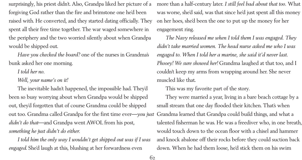surprisingly, his priest didn't. Also, Grandpa liked her picture of a forgiving God rather than the fire and brimstone one he'd been raised with. He converted, and they started dating officially. They spent all their free time together. The war waged somewhere in the periphery and the two worried silently about when Grandpa would be shipped out.

*Have you checked the board?* one of the nurses in Grandma's bunk asked her one morning.

*I told her no.*

*Well, your name's on it!*

The inevitable hadn't happened, the impossible had. They'd been so busy worrying about when Grandpa would be shipped out, they'd forgotten that of course Grandma could be shipped out too. Grandma called Grandpa for the first time ever—*you just didn't do that*—and Grandpa went AWOL from his post, *something he just didn't do either*.

*I told him the only way I wouldn't get shipped out was if I was engaged*. She'd laugh at this, blushing at her forwardness even

more than a half-century later. *I still feel bad about that too.* What was worse, she'd said, was that since he'd just spent all this money on her hoes, she'd been the one to put up the money for her engagement ring.

*The Navy released me when I told them I was engaged. They didn't take married women. The head nurse asked me who I was engaged to. When I told her a marine, she said it'd never last. Phooey! We sure showed her!* Grandma laughed at that too, and I couldn't keep my arms from wrapping around her. She never muscled like that.

This was my favorite part of the story. They were married a year, living in a bare beach cottage by a small stream that one day flooded their kitchen. That's when Grandma learned that Grandpa could build things, and what a talented fisherman he was. He was a freediver who, in one breath, would touch down to the ocean floor with a chisel and hammer and knock abalone off their rocks before they could suction back down. When he had them loose, he'd stick them on his swim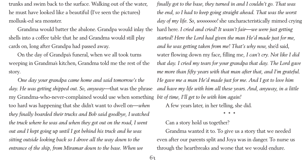trunks and swim back to the surface. Walking out of the water, he must have looked like a beautiful (I've seen the pictures) mollusk-ed sea monster.

Grandma would batter the abalone. Grandpa would inlay the shells into a coffee table that he and Grandma would still play cards on, long after Grandpa had passed away.

On the day of Grandpa's funeral, when we all took turns weeping in Grandma's kitchen, Grandma told me the rest of the story.

*One day your grandpa came home and said tomorrow's the day. He was getting shipped out. So, anyway—*that was the phrase my Grandma-who-never-complained would use when something too hard was happening that she didn't want to dwell on—*when they finally boarded their trucks and Bob said goodbye, I watched the truck where he was and when they got out on the road, I went out and I kept going up until I got behind his truck and he was sitting outside looking back so I drove all the way down to the entrance of the ship, from Miramar down to the base. When we*

*finally got to the base, they turned in and I couldn't go. That was the end, so I had to keep going straight ahead. That was the worst day of my life. So, wooooooo!* she uncharacteristically mimed crying hard here. *I cried and cried! It wasn't fair—we were just getting started! Here the Lord had given the man He'd made just for me, and he was getting taken from me! That's why now,* she'd said, water flowing down my face, filling me*, I can't cry. Not like I did that day. I cried my tears for your grandpa that day. The Lord gave me more than fifty years with that man after that, and I'm grateful. He gave me a man He'd made just for me. And I got to love him and have my life with him all these years*. *And, anyway, in a little bit of time, I'll get to be with him again!* A few years later, in her telling, she did.

**\* \* \***

Can a story hold us together? Grandma wanted it to. To give us a story that we needed even after our parents split and Joya was in danger. To nurse us through the heartbreaks and worse that we would endure.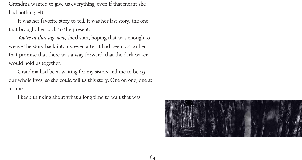Grandma wanted to give us everything, even if that meant she had nothing left.

It was her favorite story to tell. It was her last story, the one that brought her back to the present.

*You're at that age now*, she'd start, hoping that was enough to weave the story back into us, even after it had been lost to her, that promise that there was a way forward, that the dark water would hold us together.

Grandma had been waiting for my sisters and me to be 19 our whole lives, so she could tell us this story. One on one, one at a time.

I keep thinking about what a long time to wait that was.

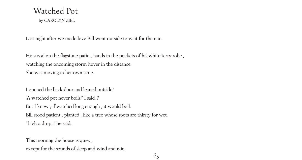### Watched Pot

by CAROLYN ZIEL

Last night after we made love Bill went outside to wait for the rain.

He stood on the flagstone patio , hands in the pockets of his white terry robe , watching the oncoming storm hover in the distance. She was moving in her own time.

I opened the back door and leaned outside? "A watched pot never boils." I said. ? But I knew , if watched long enough , it would boil. Bill stood patient , planted , like a tree whose roots are thirsty for wet. "I felt a drop ," he said.

This morning the house is quiet,

except for the sounds of sleep and wind and rain.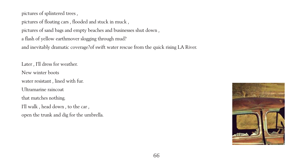

pictures of splintered trees ,

pictures of floating cars , flooded and stuck in muck ,

pictures of sand bags and empty beaches and businesses shut down ,

a flash of yellow earthmover slogging through mud?

and inevitably dramatic coverage?of swift water rescue from the quick rising LA River.

Later , I'll dress for weather. New winter boots water resistant , lined with fur. Ultramarine raincoat that matches nothing. I'll walk , head down , to the car , open the trunk and dig for the umbrella.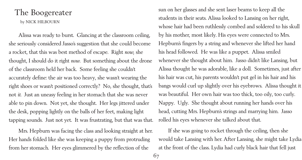#### The Boogereater by NICK HILBOURN

Alissa was ready to burst. Glancing at the classroom ceiling, she seriously considered Jasso's suggestion that she could become a rocket, that this was best method of escape. Right *now,* she thought, I should do it right *now*. But something about the drone of the classroom held her back. Some feeling she couldn't accurately define: the air was too heavy, she wasn't wearing the right shoes or wasn't positioned correctly? No, she thought, that's not *it*. Just an uneasy feeling in her stomach that she was never able to pin down. Not yet, she thought. Her legs jittered under the desk, popping lightly on the balls of her feet, making light tapping sounds. Just not yet. It was frustrating, but that was that.

Mrs. Hepburn was facing the class and looking straight at her. Her hands folded like she was keeping a puppy from protruding from her stomach. Her eyes glimmered by the reflection of the

sun on her glasses and she sent laser beams to keep all the students in their seats. Alissa looked to Lansing on her right, whose hair had been ruthlessly combed and soldered to his skull by his mother, most likely. His eyes were connected to Mrs. Hepburn's fingers by a string and whenever she lifted her hand his head followed. He was like a puppet. Alissa smiled whenever she thought about him. Jasso didn't like Lansing, but Alissa thought he was adorable, like a doll. Sometimes, just after his hair was cut, his parents wouldn't put gel in his hair and his bangs would curl up slightly over his eyebrows. Alissa thought it was beautiful. Her own hair was too thick, too oily, too curly. Nappy. Ugly. She thought about running her hands over his head, cutting Mrs. Hepburn's strings and marrying him. Jasso rolled his eyes whenever she talked about that.

If she was going to rocket through the ceiling, then she would take Lansing with her. After Lansing, she might take Lydia at the front of the class. Lydia had curly black hair that fell just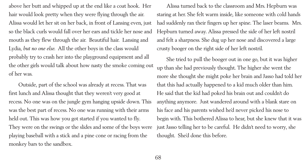above her butt and whipped up at the end like a coat hook. Her hair would look pretty when they were flying through the air. Alissa would let her sit on her back, in front of Lansing even, just so the black curls would fall over her ears and tickle her nose and mouth as they flew through the air. Beautiful hair. Lansing and Lydia, *but no one else*. All the other boys in the class would probably try to crash her into the playground equipment and all the other girls would talk about how nasty the smoke coming out of her was.

Outside, part of the school was already at recess. That was first lunch and Alissa thought that they weren't very good at recess. No one was on the jungle gym hanging upside down. This was the best part of recess. No one was running with their arms held out. This was how you got started if you wanted to fly. They were on the swings or the slides and some of the boys were playing baseball with a stick and a pine cone or racing from the monkey bars to the sandbox.

Alissa turned back to the classroom and Mrs. Hepburn was staring at her. She felt warm inside, like someone with cold hands had suddenly ran their fingers up her spine. The laser beams. Mrs. Hepburn turned away. Alissa pressed the side of her left nostril and felt a sharpness. She dug up her nose and discovered a large crusty booger on the right side of her left nostril.

She tried to pull the booger out in one go, but it was higher up than she had previously thought. The higher she went the more she thought she might poke her brain and Jasso had told her that this had actually happened to a kid much older than him. He said that the kid had poked his brain out and couldn't do anything anymore. Just wandered around with a blank stare on his face and his parents wished he'd never picked his nose to begin with. This bothered Alissa to hear, but she knew that it was just Jasso telling her to be careful. He didn't need to worry, she thought. She'd done this before.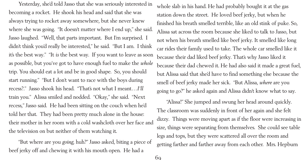Yesterday, she'd told Jasso that she was seriously interested in becoming a rocket. He shook his head and said that she was always trying to rocket away somewhere, but she never knew where she was going. "It doesn't matter where I end up," she said. Jasso laughed. "Well, that parts important. But I'm surprised. I didn't think you'd really be interested," he said. "But I am. I think it's the best way." "It *is* the best way. If you want to leave as soon as possible, but you've got to have enough fuel to make the *whole* trip. You should eat a lot and be in good shape. So, you should start running." "But I don't want to race with the boys during recess?." Jasso shook his head. "That's not what I meant…*I'll* train you." Alissa smiled and nodded. "Okay," she said. "Next recess," Jasso said. He had been sitting on the couch when he'd told her that. They had been pretty much alone in the house: their mother in her room with a cold washcloth over her face and the television on but neither of them watching it.

"But where are you *going*, huh?" Jasso asked, biting a piece of beef jerky off and chewing it with his mouth open. He had a

whole slab in his hand. He had probably bought it at the gas station down the street. He loved beef jerky, but when he finished his breath smelled terrible, like an old stink of puke. So, Alissa sat across the room because she liked to talk to Jasso, but not when his breath smelled like beef jerky. It smelled like long car rides their family used to take. The whole car smelled like it because their dad liked beef jerky. That's why Jasso liked it because their dad chewed it. He had also said it made a great fuel, but Alissa said that she'd have to find something else because the smell of beef jerky made her sick. "But Alissa, *where* are you going to go?" he asked again and Alissa didn't know what to say. "Alissa!" She jumped and swung her head around quickly. The classroom was suddenly in front of her again and she felt dizzy. Things were moving apart as if the floor were increasing in size, things were separating from themselves. She could see table legs and tops, but they were scattered all over the room and getting farther and farther away from each other. Mrs. Hepburn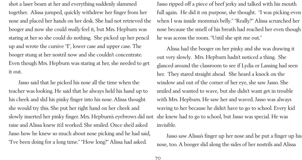shot a laser beam at her and everything suddenly slammed together. Alissa jumped, quickly withdrew her finger from her nose and placed her hands on her desk. She had not retrieved the booger and now she could *really* feel it, but Mrs. Hepburn was staring at her so she could do nothing. She picked up her pencil up and wrote the cursive "I", lower case and upper case. The booger stung at her nostril now and she couldn't concentrate. Even though Mrs. Hepburn was staring at her, she needed to get it out.

Jasso said that he picked his nose all the time when the teacher was looking. He said that he always held his hand up to his cheek and slid his pinky finger into his nose. Alissa thought she would try this. She put her right hand on her cheek and slowly inserted her pinky finger. Mrs. Hepburn's eyebrows did not raise and Alissa knew it'd worked. She smiled. Once she'd asked Jasso how he knew so much about nose picking and he had said, "I've been doing for a long time." "How long?" Alissa had asked.

Jasso ripped off a piece of beef jerky and talked with his mouth full again. He did it on purpose, she thought. "I was picking even when I was inside momma's belly." "Really?" Alissa scrunched her nose because the smell of his breath had reached her even though he was across the room. "Until she spit me out."

Alissa had the booger on her pinky and she was drawing it out very slowly. Mrs. Hepburn hadn't noticed a thing. She glanced around the classroom to see if Lydia or Lansing had seen her. They stared straight ahead. She heard a knock on the window and out of the corner of her eye, she saw Jasso. She smiled and wanted to wave, but she didn't want get in trouble with Mrs. Hepburn. He saw her and waved. Jasso was always waving to her because he didn't have to go to school. Every kid she knew had to go to school, but Jasso was special. He was invisible.

Jasso saw Alissa's finger up her nose and he put a finger up his nose, too. A booger slid along the sides of her nostrils and Alissa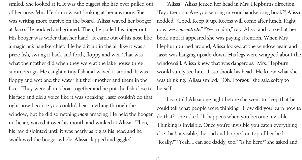smiled. She looked at it. It was the biggest she had ever pulled out of her nose. Mrs. Hepburn wasn't looking at her anymore. She was writing more cursive on the board. Alissa waved her booger at Jasso. He nodded and grinned. Then, he pulled his finger out. His booger was wider than her hand. It came out of his nose like a magician's handkerchief. He held it up in the air like it was a prize fish, swung it back and forth, floppy and wet. That was what their father did when they were at the lake house three summers ago. He caught a tiny fish and waved it around. It was floppy and wet and the water hit their mother and them in the face. They were all in a boat together and he put the fish close to his face and did a voice like it was speaking. Jasso couldn't do that right now because you couldn't hear anything through the window, but he did something *more* amazing. He held the booger in the air, waved it over his mouth and winked at Alissa. Then, his jaw disjointed until it was nearly as big as his head and he swallowed the booger whole. Alissa clapped and giggled.

"Alissa!" Alissa jerked her head in Mrs. Hepburn's direction. "Pay attention. Are you writing in your handwriting book?" Alissa nodded. "Good. Keep it up. Recess will come after lunch. Right now we *concentrate*." "Yes, ma'am," said Alissa and looked at her book until it appeared she was paying attention. When Mrs. Hepburn turned around, Alissa looked at the window again and Jasso was hanging upside-down. His legs were wrapped about the windowsill. Alissa knew that was dangerous. Mrs. Hepburn would surely see him. Jasso shook his head. He knew what she was thinking. Alissa smiled. "Oh, I forgot," she said softly to herself.

Jasso told Alissa one night before she went to sleep that he could tell what people were thinking. "How did you learn how to do that?" she asked. "It happens when you become invisible. Thinking is invisible. Once you're invisible you catch everything else that's invisible," he said and hopped on top of her bed. "Really?" "Yeah, I can see daddy, too." "Is he here?" she asked and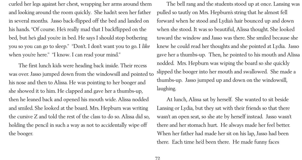curled her legs against her chest, wrapping her arms around them and looking around the room quickly. She hadn't seen her father in several months. Jasso back-flipped off the bed and landed on his hands. "Of course. He's really mad that I backflipped on the bed, but he's glad you're in bed. He says I should stop bothering you so you can go to sleep." "Don't. I don't want you to go. I *like* when you're here." "I know. I can read your mind."

The first lunch kids were heading back inside. Their recess was over. Jasso jumped down from the windowsill and pointed to his nose and then to Alissa. He was pointing to her booger and she showed it to him. He clapped and gave her a thumbs-up, then he leaned back and opened his mouth wide. Alissa nodded and smiled. She looked at the board. Mrs. Hepburn was writing the cursive Z and told the rest of the class to do so. Alissa did so, holding the pencil in such a way as not to accidentally wipe off the booger.

The bell rang and the students stood up at once. Lansing was pulled so tautly on Mrs. Hepburn's string that he almost fell forward when he stood and Lydia's hair bounced up and down when she stood. It was so beautiful, Alissa thought. She looked toward the window and Jasso was there. She smiled because she knew he could read her thoughts and she pointed at Lydia. Jasso gave her a thumbs-up. Then, he pointed to his mouth and Alissa nodded. Mrs. Hepburn was wiping the board so she quickly slipped the booger into her mouth and swallowed. She made a thumbs-up. Jasso jumped up and down on the windowsill, laughing.

At lunch, Alissa sat by herself. She wanted to sit beside Lansing or Lydia, but they sat with their friends so that there wasn't an open seat, so she ate by herself instead. Jasso wasn't there and her stomach hurt. He always made her feel better. When her father had made her sit on his lap, Jasso had been there. Each time he'd been there. He made funny faces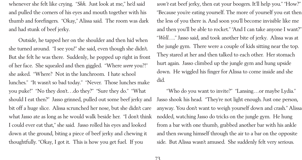whenever she felt like crying. "*Shh*. Just look at me," he'd said and pulled the corners of his eyes and mouth together with his thumb and forefingers. "Okay," Alissa said. The room was dark and had stunk of beef jerky.

Outside, he tapped her on the shoulder and then hid when she turned around. "I see you!" she said, even though she didn't. But she felt he was there. Suddenly, he popped up right in front of her face. She squealed and then giggled. "Where *were* you?!" she asked. "Where? Not in the lunchroom. I hate school lunches." "It wasn't so bad today." "Never. Those lunches make you puke!" "No they don't…do they?" "Sure they do." "What should I eat then?" Jasso grinned, pulled out some beef jerky and bit off a huge slice. Alissa scrunched her nose, but she didn't care what Jasso ate as long as he would walk beside her. "I don't think I could ever eat that," she said. Jasso rolled his eyes and looked down at the ground, biting a piece of beef jerky and chewing it thoughtfully. "Okay, I got it. This is how you get fuel. If you

won't eat beef jerky, then eat your boogers. It'll help you." "How?" "Because you're eating yourself. The more of yourself you eat then the less of you there is. And soon you'll become invisible like me and then you'll be able to rocket." "And I can take anyone I want?" "*Well*…." Jasso said, and took another bite of jerky. Alissa was at the jungle gym. There were a couple of kids sitting near the top. They stared at her and then talked to each other. Her stomach hurt again. Jasso climbed up the jungle gym and hung upside down. He wiggled his finger for Alissa to come inside and she did.

"Who do you want to invite?" "Lansing…or maybe Lydia." Jasso shook his head. "They're not light enough. Just one person, anyway. You don't want to weigh yourself down and crash." Alissa nodded, watching Jasso do tricks on the jungle gym. He hung from a bar with one thumb, grabbed another bar with his ankle and then swung himself through the air to a bar on the opposite side. But Alissa wasn't amused. She suddenly felt very serious.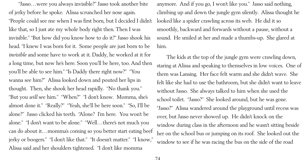"Jasso…were you always invisible?" Jasso took another bite of jerky before he spoke. Alissa scrunched her nose again. "People could see me when I was first born, but I decided I didn't like that, so I just ate my whole body right then. Then I was invisible." "But how did you know how to do it?" Jasso shook his head. "I knew I was born for it. Some people are just born to be *invisible* and some have to work at it. Daddy, he worked at it for a long time, but now he's here. Soon you'll be here, too. And then you'll be able to see him." "Is Daddy there right now?" "You wanna see him?" Alissa looked down and pouted her lips in thought. Then, she shook her head rapidly. "No thank you." "But you *will* see him." "When?" "I don't know. Momma, she's almost done it." "Really?" "Yeah, she'll be here soon." "So, I'll be alone?" Jasso clicked his teeth. "Alone? I'm here. You won't be alone." "I don't want to be alone." "Well…there's not much you can do about it…momma's coming so you better start eating beef jerky or boogers." "I don't like that." "It doesn't matter." "I know," Alissa said and her shoulders tightened. "I don't like momma

anymore. And if you go, I won't like you." Jasso said nothing, climbing up and down the jungle gym silently. Alissa thought he looked like a spider crawling across its web. He did it so smoothly, backward and forwards without a pause, without a sound. He smiled at her and made a thumbs-up. She glared at him.

The kids at the top of the jungle gym were crawling down, staring at Alissa and speaking to themselves in low voices. One of them was Lansing. Her face felt warm and she didn't wave. She felt like she had to use the bathroom, but she didn't want to leave without Jasso. She always talked to him when she used the school toilet. "Jasso?" She looked around, but he was gone. "Jasso?" Alissa wandered around the playground until recess was over, but Jasso never showed up. He didn't knock on the window during class in the afternoon and he wasn't sitting beside her on the school bus or jumping on its roof. She looked out the window to see if he was racing the bus on the side of the road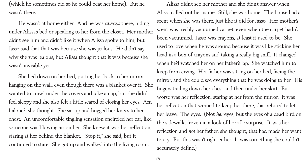(which he sometimes did so he could beat her home). But he wasn't there.

He wasn't at home either. And he was *always* there, hiding under Alissa's bed or speaking to her from the closet. Her mother didn't see him and didn't like it when Alissa spoke to him, but Jasso said that that was because she was jealous. He didn't say why she was jealous, but Alissa thought that it was because she wasn't invisible yet.

She lied down on her bed, putting her back to her mirror hanging on the wall, even though there was a blanket over it. She wanted to crawl under the covers and take a nap, but she didn't feel sleepy and she also felt a little scared of closing her eyes. Am I alone?, she thought. She sat up and hugged her knees to her chest. An uncomfortable tingling sensation encircled her ear, like someone was blowing air on her. She knew it was her reflection, staring at her behind the blanket. "Stop it," she said, but it continued to stare. She got up and walked into the living room.

Alissa didn't see her mother and she didn't answer when Alissa called out her name. Still, she was home. The house had a scent when she was there, just like it did for Jasso. Her mother's scent was freshly vacuumed carpet, even when the carpet hadn't been vacuumed. Jasso was crayons, at least it used to be. She used to love when he was around because it was like sticking her head in a box of crayons and taking a really big sniff. It changed when he'd watched her on her father's lap. She watched him to keep from crying. Her father was sitting on her bed, facing the mirror, and she could see everything that he was doing to her. His fingers trailing down her chest and then under her skirt. But worse was her reflection, staring at her from the mirror. It was her reflection that seemed to keep her there, that refused to let her leave. The eyes. (Not *her* eyes, but the eyes of a dead bird on the sidewalk, frozen in a look of horrific surprise. It was her reflection and *not* her father, she thought, that had made her want to cry. But this wasn't right either. It was something she couldn't accurately define.)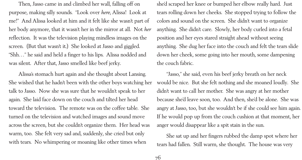Alissa's stomach hurt again and she thought about Lansing. She wished that he hadn't been with the other boys watching her talk to Jasso. Now she was sure that he wouldn't speak to her again. She laid face down on the couch and tilted her head toward the television. The remote was on the coffee table. She turned on the television and watched images and sound move across the screen, but she couldn't organize them. Her head was warm, too. She felt very sad and, suddenly, she cried but only with tears. No whimpering or moaning like other times when

Then, Jasso came in and climbed her wall, falling off on purpose, making silly sounds. "Look over *here*, Alissa! Look at me!" And Alissa looked at him and it felt like she wasn't part of her body anymore, that it wasn't her in the mirror at all. Not *her* reflection. It was the television playing mindless images on the screen. (But that wasn't it.) She looked at Jasso and giggled. "Shh…" he said and held a finger to his lips. Alissa nodded and was silent. After that, Jasso smelled like beef jerky.

she'd scraped her knee or bumped her elbow really hard. Just tears rolling down her cheeks. She stopped trying to follow the colors and sound on the screen. She didn't want to organize anything. She didn't care. Slowly, her body curled into a fetal position and her eyes stared straight ahead without seeing anything. She dug her face into the couch and felt the tears slide down her cheek, some going into her mouth, some dampening the couch fabric.

"Jasso," she said, even his beef jerky breath on her neck would be nice. But she felt nothing and she moaned loudly. She didn't want to call her mother. She was angry at her mother because she'd leave soon, too. And then, she'd be alone. She was angry at Jasso, too, but she wouldn't be if she could see him again. If he would pop up from the couch cushion at that moment, her anger would disappear like a spit stain in the sun.

She sat up and her fingers rubbed the damp spot where her tears had fallen. Still warm, she thought. The house was very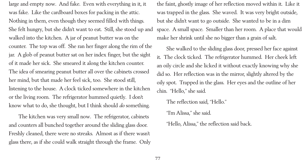large and empty now. And fake. Even with everything in it, it was fake. Like the cardboard boxes for packing in the attic. Nothing in them, even though they seemed filled with things. She felt hungry, but she didn't want to eat. Still, she stood up and walked into the kitchen. A jar of peanut butter was on the counter. The top was off. She ran her finger along the rim of the jar. A glob of peanut butter sat on her index finger, but the sight of it made her sick. She smeared it along the kitchen counter. The idea of smearing peanut butter all over the cabinets crossed her mind, but that made her feel sick, too. She stood still, listening to the house. A clock ticked somewhere in the kitchen or the living room. The refrigerator hummed quietly. I don't know what to do, she thought, but I think should *do* something.

The kitchen was very small now. The refrigerator, cabinets and counters all bunched together around the sliding glass door. Freshly cleaned, there were no streaks. Almost as if there wasn't glass there, as if she could walk straight through the frame. Only the faint, ghostly image of her reflection moved within it. Like it was trapped in the glass. She waved. It was very bright outside, but she didn't want to go outside. She wanted to be in a dim space. A small space. Smaller than her room. A place that would make her shrink until she no bigger than a grain of salt.

She walked to the sliding glass door, pressed her face against it. The clock ticked. The refrigerator hummed. Her cheek left an oily circle and she licked it without exactly knowing why she did so. Her reflection was in the mirror, slightly altered by the oily spot. Trapped in the glass. Her eyes and the outline of her chin. "Hello," she said.

The reflection said, "Hello." "I'm Alissa," she said.

"Hello, Alissa," the reflection said back.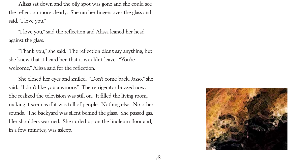

Alissa sat down and the oily spot was gone and she could see the reflection more clearly. She ran her fingers over the glass and said, "I love you."

"I love you," said the reflection and Alissa leaned her head against the glass.

"Thank you," she said. The reflection didn't say anything, but she knew that it heard her, that it wouldn't leave. "You're welcome," Alissa said for the reflection.

She closed her eyes and smiled. "Don't come back, Jasso," she said. "I don't like you anymore." The refrigerator buzzed now. She realized the television was still on. It filled the living room, making it seem as if it was full of people. Nothing else. No other sounds. The backyard was silent behind the glass. She passed gas. Her shoulders warmed. She curled up on the linoleum floor and, in a few minutes, was asleep.

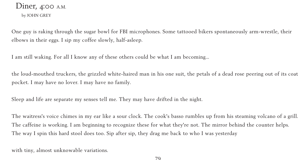### Diner, 4:00 A.M. by JOHN GREY

One guy is raking through the sugar bowl for FBI microphones. Some tattooed bikers spontaneously arm-wrestle, their elbows in their eggs. I sip my coffee slowly, half-asleep.

I am still waking. For all I know any of these others could be what I am becoming...

the loud-mouthed truckers, the grizzled white-haired man in his one suit, the petals of a dead rose peering out of its coat pocket. I may have no lover. I may have no family.

Sleep and life are separate my senses tell me. They may have drifted in the night.

The waitress's voice chimes in my ear like a sour clock. The cook's basso rumbles up from his steaming volcano of a grill. The caffeine is working. I am beginning to recognize these for what they're not. The mirror behind the counter helps. The way I spin this hard stool does too. Sip after sip, they drag me back to who I was yesterday

with tiny, almost unknowable variations.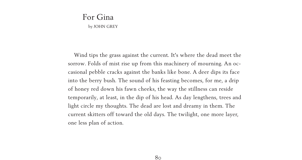# For Gina

by JOHN GREY

Wind tips the grass against the current. It's where the dead meet the sorrow. Folds of mist rise up from this machinery of mourning. An occasional pebble cracks against the banks like bone. A deer dips its face into the berry bush. The sound of his feasting becomes, for me, a drip of honey red down his fawn cheeks, the way the stillness can reside temporarily, at least, in the dip of his head. As day lengthens, trees and light circle my thoughts. The dead are lost and dreamy in them. The current skitters off toward the old days. The twilight, one more layer, one less plan of action.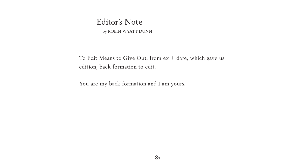## Editor's Note

by ROBIN WYATT DUNN

To Edit Means to Give Out, from ex + dare, which gave us edition, back formation to edit.

You are my back formation and I am yours.